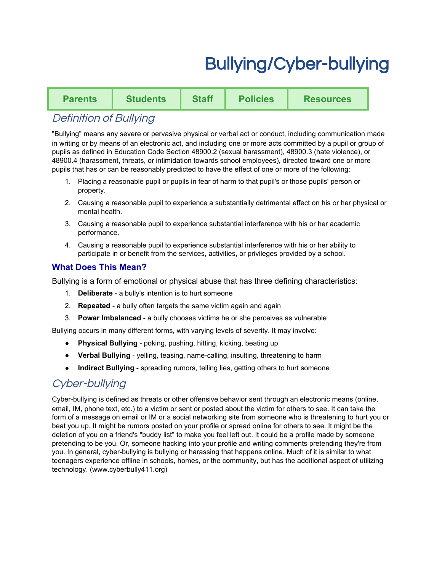# Bullying/Cyber-bullying

| Parents | <b>Students</b> | Staff | <b>Policies</b> | <b>Resources</b> |
|---------|-----------------|-------|-----------------|------------------|
|---------|-----------------|-------|-----------------|------------------|

## Definition of Bullying

"Bullying" means any severe or pervasive physical or verbal act or conduct, including communication made in writing or by means of an electronic act, and including one or more acts committed by a pupil or group of pupils as defined in Education Code Section 48900.2 (sexual harassment), 48900.3 (hate violence), or 48900.4 (harassment, threats, or intimidation towards school employees), directed toward one or more pupils that has or can be reasonably predicted to have the effect of one or more of the following:

- 1. Placing a reasonable pupil or pupils in fear of harm to that pupil's or those pupils' person or property.
- 2. Causing a reasonable pupil to experience a substantially detrimental effect on his or her physical or mental health.
- 3. Causing a reasonable pupil to experience substantial interference with his or her academic performance.
- 4. Causing a reasonable pupil to experience substantial interference with his or her ability to participate in or benefit from the services, activities, or privileges provided by a school.

## **What Does This Mean?**

Bullying is a form of emotional or physical abuse that has three defining characteristics:

- 1. **Deliberate** a bully's intention is to hurt someone
- 2. **Repeated** a bully often targets the same victim again and again
- 3. **Power Imbalanced** a bully chooses victims he or she perceives as vulnerable

Bullying occurs in many different forms, with varying levels of severity. It may involve:

- **Physical Bullying** poking, pushing, hitting, kicking, beating up
- **Verbal Bullying** yelling, teasing, name-calling, insulting, threatening to harm
- **Indirect Bullying** spreading rumors, telling lies, getting others to hurt someone

# Cyber-bullying

Cyber-bullying is defined as threats or other offensive behavior sent through an electronic means (online, email, IM, phone text, etc.) to a victim or sent or posted about the victim for others to see. It can take the form of a message on email or IM or a social networking site from someone who is threatening to hurt you or beat you up. It might be rumors posted on your profile or spread online for others to see. It might be the deletion of you on a friend's "buddy list" to make you feel left out. It could be a profile made by someone pretending to be you. Or, someone hacking into your profile and writing comments pretending they're from you. In general, cyber-bullying is bullying or harassing that happens online. Much of it is similar to what teenagers experience offline in schools, homes, or the community, but has the additional aspect of utilizing technology. (www.cyberbully411.org)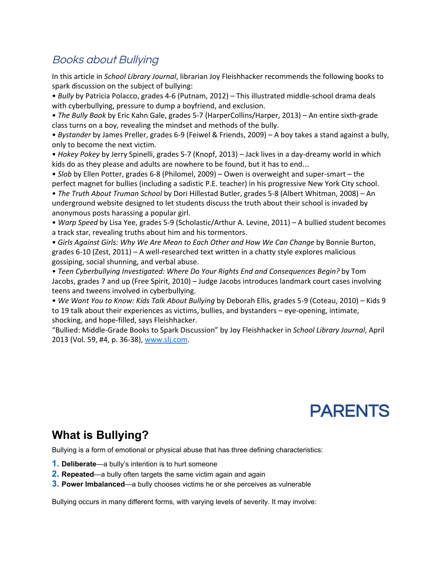# Books about Bullying

In this article in *School Library Journal*, librarian Joy Fleishhacker recommends the following books to spark discussion on the subject of bullying:

• *Bully* by Patricia Polacco, grades 4-6 (Putnam, 2012) – This illustrated middle-school drama deals with cyberbullying, pressure to dump a boyfriend, and exclusion.

• *The Bully Book* by Eric Kahn Gale, grades 5-7 (HarperCollins/Harper, 2013) – An entire sixth-grade class turns on a boy, revealing the mindset and methods of the bully.

• *Bystander* by James Preller, grades 6-9 (Feiwel & Friends, 2009) – A boy takes a stand against a bully, only to become the next victim.

• *Hokey Pokey* by Jerry Spinelli, grades 5-7 (Knopf, 2013) – Jack lives in a day-dreamy world in which kids do as they please and adults are nowhere to be found, but it has to end…

• *Slob* by Ellen Potter, grades 6-8 (Philomel, 2009) – Owen is overweight and super-smart – the perfect magnet for bullies (including a sadistic P.E. teacher) in his progressive New York City school.

• *The Truth About Truman School* by Dori Hillestad Butler, grades 5-8 (Albert Whitman, 2008) – An underground website designed to let students discuss the truth about their school is invaded by anonymous posts harassing a popular girl.

• *Warp Speed* by Lisa Yee, grades 5-9 (Scholastic/Arthur A. Levine, 2011) – A bullied student becomes a track star, revealing truths about him and his tormentors.

• *Girls Against Girls: Why We Are Mean to Each Other and How We Can Change* by Bonnie Burton, grades 6-10 (Zest, 2011) – A well-researched text written in a chatty style explores malicious gossiping, social shunning, and verbal abuse.

• *Teen Cyberbullying Investigated: Where Do Your Rights End and Consequences Begin?* by Tom Jacobs, grades 7 and up (Free Spirit, 2010) – Judge Jacobs introduces landmark court cases involving teens and tweens involved in cyberbullying.

• *We Want You to Know: Kids Talk About Bullying* by Deborah Ellis, grades 5-9 (Coteau, 2010) – Kids 9 to 19 talk about their experiences as victims, bullies, and bystanders – eye-opening, intimate, shocking, and hope-filled, says Fleishhacker.

"Bullied: Middle-Grade Books to Spark Discussion" by Joy Fleishhacker in *School Library Journal*, April 2013 (Vol. 59, #4, p. 36-38), [www.slj.com.](http://www.slj.com/)



# **What is Bullying?**

Bullying is a form of emotional or physical abuse that has three defining characteristics:

- **1. Deliberate**—a bully's intention is to hurt someone
- **2. Repeated**—a bully often targets the same victim again and again
- **3. Power Imbalanced**—a bully chooses victims he or she perceives as vulnerable

Bullying occurs in many different forms, with varying levels of severity. It may involve: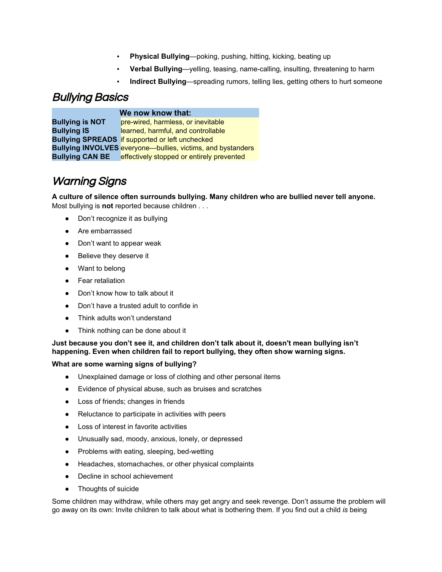- **Physical Bullying—poking, pushing, hitting, kicking, beating up**
- **Verbal Bullying—yelling, teasing, name-calling, insulting, threatening to harm**
- **Indirect Bullying—spreading rumors, telling lies, getting others to hurt someone**

## Bullying Basics

### **We now know that:**

**Bullying is NOT** prewired, harmless, or inevitable **Bullying IS** learned, harmful, and controllable **Bullying SPREADS** if supported or left unchecked **Bullying INVOLVES** everyone—bullies, victims, and bystanders **Bullying CAN BE** effectively stopped or entirely prevented

# Warning Signs

**A culture of silence often surrounds bullying. Many children who are bullied never tell anyone.** Most bullying is **not** reported because children . . .

- Don't recognize it as bullying
- Are embarrassed
- Don't want to appear weak
- Believe they deserve it
- Want to belong
- Fear retaliation
- Don't know how to talk about it
- Don't have a trusted adult to confide in
- Think adults won't understand
- Think nothing can be done about it

**Just because you don't see it, and children don't talk about it, doesn't mean bullying isn't happening. Even when children fail to report bullying, they often show warning signs.**

### **What are some warning signs of bullying?**

- Unexplained damage or loss of clothing and other personal items
- Evidence of physical abuse, such as bruises and scratches
- Loss of friends; changes in friends
- Reluctance to participate in activities with peers
- Loss of interest in favorite activities
- Unusually sad, moody, anxious, lonely, or depressed
- Problems with eating, sleeping, bed-wetting
- Headaches, stomachaches, or other physical complaints
- Decline in school achievement
- Thoughts of suicide

Some children may withdraw, while others may get angry and seek revenge. Don't assume the problem will go away on its own: Invite children to talk about what is bothering them. If you find out a child *is* being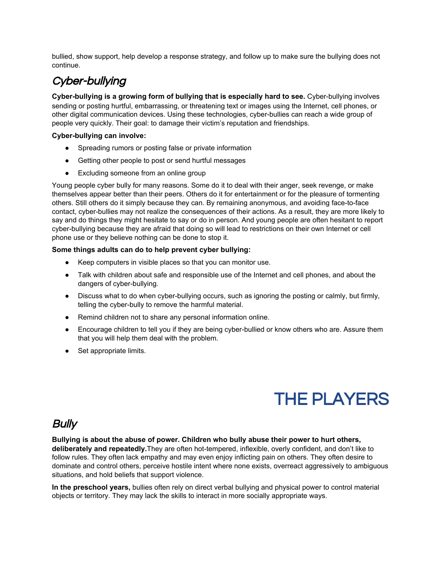bullied, show support, help develop a response strategy, and follow up to make sure the bullying does not continue.

# Cyber-bullying

**Cyber-bullying is a growing form of bullying that is especially hard to see. Cyber-bullying involves** sending or posting hurtful, embarrassing, or threatening text or images using the Internet, cell phones, or other digital communication devices. Using these technologies, cyber-bullies can reach a wide group of people very quickly. Their goal: to damage their victim's reputation and friendships.

### **Cyber-bullying can involve:**

- Spreading rumors or posting false or private information
- Getting other people to post or send hurtful messages
- Excluding someone from an online group

Young people cyber bully for many reasons. Some do it to deal with their anger, seek revenge, or make themselves appear better than their peers. Others do it for entertainment or for the pleasure of tormenting others. Still others do it simply because they can. By remaining anonymous, and avoiding face-to-face contact, cyber-bullies may not realize the consequences of their actions. As a result, they are more likely to say and do things they might hesitate to say or do in person. And young people are often hesitant to report cyber-bullying because they are afraid that doing so will lead to restrictions on their own Internet or cell phone use or they believe nothing can be done to stop it.

### **Some things adults can do to help prevent cyber bullying:**

- Keep computers in visible places so that you can monitor use.
- Talk with children about safe and responsible use of the Internet and cell phones, and about the dangers of cyber-bullying.
- $\bullet$  Discuss what to do when cyber-bullying occurs, such as ignoring the posting or calmly, but firmly, telling the cyber-bully to remove the harmful material.
- Remind children not to share any personal information online.
- Encourage children to tell you if they are being cyber-bullied or know others who are. Assure them that you will help them deal with the problem.
- Set appropriate limits.

# THE PLAYERS

## Bully

### **Bullying is about the abuse of power. Children who bully abuse their power to hurt others,**

deliberately and repeatedly. They are often hot-tempered, inflexible, overly confident, and don't like to follow rules. They often lack empathy and may even enjoy inflicting pain on others. They often desire to dominate and control others, perceive hostile intent where none exists, overreact aggressively to ambiguous situations, and hold beliefs that support violence.

**In the preschool years,**bullies often rely on direct verbal bullying and physical power to control material objects or territory. They may lack the skills to interact in more socially appropriate ways.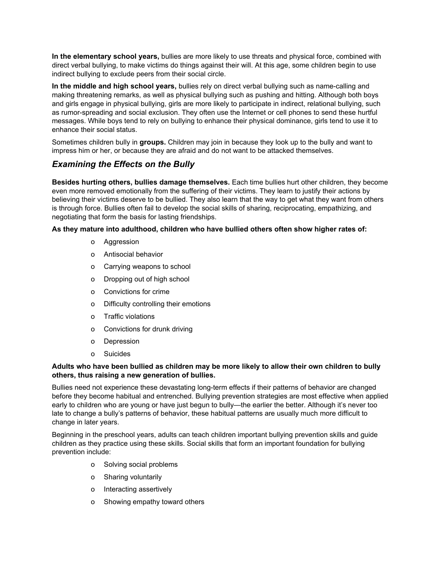**In the elementary school years,**bullies are more likely to use threats and physical force, combined with direct verbal bullying, to make victims do things against their will. At this age, some children begin to use indirect bullying to exclude peers from their social circle.

**In the middle and high school years,** bullies rely on direct verbal bullying such as namecalling and making threatening remarks, as well as physical bullying such as pushing and hitting. Although both boys and girls engage in physical bullying, girls are more likely to participate in indirect, relational bullying, such as rumor-spreading and social exclusion. They often use the Internet or cell phones to send these hurtful messages. While boys tend to rely on bullying to enhance their physical dominance, girls tend to use it to enhance their social status.

Sometimes children bully in **groups.**Children may join in because they look up to the bully and want to impress him or her, or because they are afraid and do not want to be attacked themselves.

## *Examining the Effects on the Bully*

**Besides hurting others, bullies damage themselves.** Each time bullies hurt other children, they become even more removed emotionally from the suffering of their victims. They learn to justify their actions by believing their victims deserve to be bullied. They also learn that the way to get what they want from others is through force. Bullies often fail to develop the social skills of sharing, reciprocating, empathizing, and negotiating that form the basis for lasting friendships.

### **As they mature into adulthood, children who have bullied others often show higher rates of:**

- o Aggression
- o Antisocial behavior
- o Carrying weapons to school
- o Dropping out of high school
- o Convictions for crime
- o Difficulty controlling their emotions
- o Traffic violations
- o Convictions for drunk driving
- o Depression
- o Suicides

### **Adults who have been bullied as children may be more likely to allow their own children to bully others, thus raising a new generation of bullies.**

Bullies need not experience these devastating long-term effects if their patterns of behavior are changed before they become habitual and entrenched. Bullying prevention strategies are most effective when applied early to children who are young or have just begun to bully—the earlier the better. Although it's never too late to change a bully's patterns of behavior, these habitual patterns are usually much more difficult to change in later years.

Beginning in the preschool years, adults can teach children important bullying prevention skills and guide children as they practice using these skills. Social skills that form an important foundation for bullying prevention include:

- o Solving social problems
- o Sharing voluntarily
- o Interacting assertively
- o Showing empathy toward others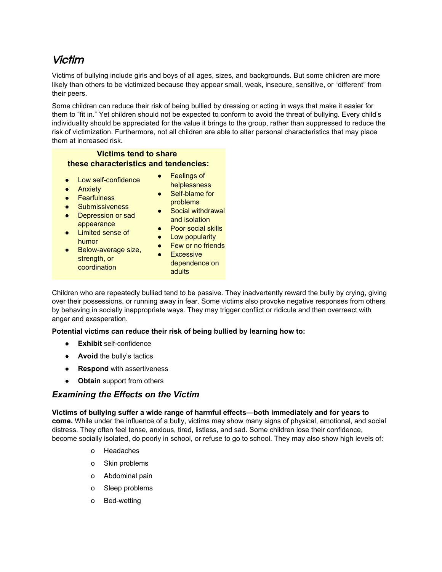# Victim

Victims of bullying include girls and boys of all ages, sizes, and backgrounds. But some children are more likely than others to be victimized because they appear small, weak, insecure, sensitive, or "different" from their peers.

Some children can reduce their risk of being bullied by dressing or acting in ways that make it easier for them to "fit in." Yet children should not be expected to conform to avoid the threat of bullying. Every child's individuality should be appreciated for the value it brings to the group, rather than suppressed to reduce the risk of victimization. Furthermore, not all children are able to alter personal characteristics that may place them at increased risk.

### **Victims tend to share these characteristics and tendencies:**

- $\bullet$  Low self-confidence
- Anxiety
- Fearfulness
- Submissiveness
- Depression or sad appearance
- Limited sense of humor
- Below-average size, strength, or coordination
- Feelings of **helplessness**
- Self-blame for problems
- **■** problems<br>■ Social withdrawal and isolation
- Poor social skills
- Low popularity
- Few or no friends
- Excessive dependence on adults

Children who are repeatedly bullied tend to be passive. They inadvertently reward the bully by crying, giving over their possessions, or running away in fear. Some victims also provoke negative responses from others by behaving in socially inappropriate ways. They may trigger conflict or ridicule and then overreact with anger and exasperation.

### **Potential victims can reduce their risk of being bullied by learning how to:**

- **• Exhibit** self-confidence
- **• Avoid** the bully's tactics
- **Respond** with assertiveness
- **Obtain**support from others

## *Examining the Effects on the Victim*

**Victims of bullying suffer a wide range of harmful effects—both immediately and for years to come.** While under the influence of a bully, victims may show many signs of physical, emotional, and social distress. They often feel tense, anxious, tired, listless, and sad. Some children lose their confidence, become socially isolated, do poorly in school, or refuse to go to school. They may also show high levels of:

- o Headaches
- o Skin problems
- o Abdominal pain
- o Sleep problems
- o Bed-wetting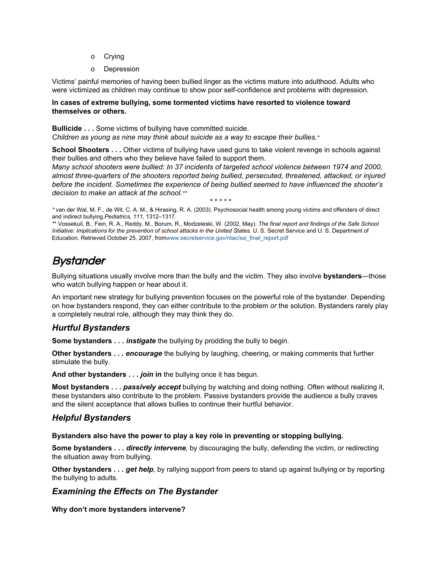- o Crying
- o Depression

Victims' painful memories of having been bullied linger as the victims mature into adulthood. Adults who were victimized as children may continue to show poor self-confidence and problems with depression.

### **In cases of extreme bullying, some tormented victims have resorted to violence toward themselves or others.**

**Bullicide . . .** Some victims of bullying have committed suicide. *Children as young as nine may think about suicide as a way to escape their bullies.\**

**School Shooters . . .** Other victims of bullying have used guns to take violent revenge in schools against their bullies and others who they believe have failed to support them.

*Many school shooters were bullied: In 37 incidents of targeted school violence between 1974 and 2000, almost threequarters of the shooters reported being bullied, persecuted, threatened, attacked, or injured before the incident. Sometimes the experience of being bullied seemed to have influenced the shooter's decision to make an attack at the school.\*\**

\* \* \* \* \*

*\** van der Wal, M. F., de Wit, C. A. M., & Hirasing, R. A. (2003). Psychosocial health among young victims and offenders of direct and indirect bullying.*Pediatrics, 111,* 1312–1317.

*\**\* Vossekuil, B., Fein, R. A., Reddy, M., Borum, R., Modzeleski, W. (2002, May). *The final report and findings of the Safe School Initiative: Implications for the prevention of school attacks in the United States.* U. S. Secret [Se](http://www.secretservice.gov/ntac/ssi_final_report.pdf)rvice and U. S. Department of Education. Retrieved October 25, 2007, fro[mwww.secretservice.gov/ntac/ssi\\_final\\_report.pdf](http://www.secretservice.gov/ntac/ssi_final_report.pdf)

# **Bystander**

Bullying situations usually involve more than the bully and the victim. They also involve **bystanders**—those who watch bullying happen or hear about it.

An important new strategy for bullying prevention focuses on the powerful role of the bystander. Depending on how bystanders respond, they can either contribute to the problem *or* the solution. Bystanders rarely play a completely neutral role, although they may think they do.

## *Hurtful Bystanders*

**Some bystanders . . .** *instigate* the bullying by prodding the bully to begin.

**Other bystanders . . .** *encourage*the bullying by laughing, cheering, or making comments that further stimulate the bully.

**And other bystanders . . .** *join***in**the bullying once it has begun.

**Most bystanders ...** *passively accept* bullying by watching and doing nothing. Often without realizing it, these bystanders also contribute to the problem. Passive bystanders provide the audience a bully craves and the silent acceptance that allows bullies to continue their hurtful behavior.

## *Helpful Bystanders*

**Bystanders also have the power to play a key role in preventing or stopping bullying.**

**Some bystanders . . .** *directly intervene,* by discouraging the bully, defending the victim, or redirecting the situation away from bullying.

**Other bystanders . . .** *get help,* by rallying support from peers to stand up against bullying or by reporting the bullying to adults.

## *Examining the Effects on The Bystander*

**Why don't more bystanders intervene?**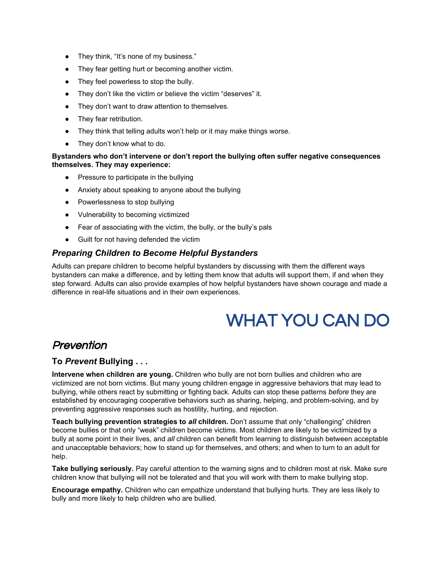- They think, "It's none of my business."
- They fear getting hurt or becoming another victim.
- They feel powerless to stop the bully.
- They don't like the victim or believe the victim "deserves" it.
- They don't want to draw attention to themselves.
- They fear retribution.
- They think that telling adults won't help or it may make things worse.
- They don't know what to do.

### **Bystanders who don't intervene or don't report the bullying often suffer negative consequences themselves. They may experience:**

- Pressure to participate in the bullying
- Anxiety about speaking to anyone about the bullying
- Powerlessness to stop bullying
- Vulnerability to becoming victimized
- Fear of associating with the victim, the bully, or the bully's pals
- Guilt for not having defended the victim

## *Preparing Children to Become Helpful Bystanders*

Adults can prepare children to become helpful bystanders by discussing with them the different ways bystanders can make a difference, and by letting them know that adults will support them, if and when they step forward. Adults can also provide examples of how helpful bystanders have shown courage and made a difference in real-life situations and in their own experiences.

# WHAT YOU CAN DO

## Prevention

## **To** *Prevent***Bullying . . .**

**Intervene when children are young.** Children who bully are not born bullies and children who are victimized are not born victims. But many young children engage in aggressive behaviors that may lead to bullying, while others react by submitting or fighting back. Adults can stop these patterns *before* they are established by encouraging cooperative behaviors such as sharing, helping, and problem-solving, and by preventing aggressive responses such as hostility, hurting, and rejection.

**Teach bullying prevention strategies to** *all***children.** Don't assume that only "challenging" children become bullies or that only "weak" children become victims. Most children are likely to be victimized by a bully at some point in their lives, and *all* children can benefit from learning to distinguish between acceptable and unacceptable behaviors; how to stand up for themselves, and others; and when to turn to an adult for help.

**Take bullying seriously.** Pay careful attention to the warning signs and to children most at risk. Make sure children know that bullying will not be tolerated and that you will work with them to make bullying stop.

**Encourage empathy.** Children who can empathize understand that bullying hurts. They are less likely to bully and more likely to help children who are bullied.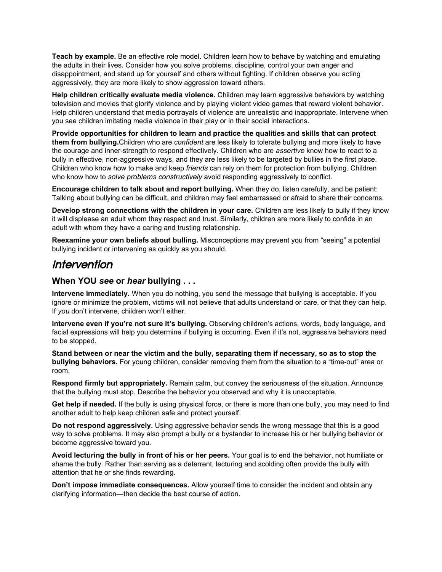**Teach by example.**Be an effective role model. Children learn how to behave by watching and emulating the adults in their lives. Consider how you solve problems, discipline, control your own anger and disappointment, and stand up for yourself and others without fighting. If children observe you acting aggressively, they are more likely to show aggression toward others.

**Help children critically evaluate media violence.** Children may learn aggressive behaviors by watching television and movies that glorify violence and by playing violent video games that reward violent behavior. Help children understand that media portrayals of violence are unrealistic and inappropriate. Intervene when you see children imitating media violence in their play or in their social interactions.

**Provide opportunities for children to learn and practice the qualities and skills that can protect them from bullying.**Children who are *confident* are less likely to tolerate bullying and more likely to have the courage and innerstrength to respond effectively. Children who are *assertive* know how to react to a bully in effective, non-aggressive ways, and they are less likely to be targeted by bullies in the first place. Children who know how to make and keep *friends* can rely on them for protection from bullying. Children who know how to *solve problems constructively* avoid responding aggressively to conflict.

**Encourage children to talk about and report bullying.**When they do, listen carefully, and be patient: Talking about bullying can be difficult, and children may feel embarrassed or afraid to share their concerns.

**Develop strong connections with the children in your care.** Children are less likely to bully if they know it will displease an adult whom they respect and trust. Similarly, children are more likely to confide in an adult with whom they have a caring and trusting relationship.

**Reexamine your own beliefs about bulling.** Misconceptions may prevent you from "seeing" a potential bullying incident or intervening as quickly as you should.

## Intervention

### **When YOU** *see***or** *hear***bullying . . .**

**Intervene immediately.** When you do nothing, you send the message that bullying is acceptable. If you ignore or minimize the problem, victims will not believe that adults understand or care, or that they can help. If *you* don't intervene, children won't either.

**Intervene even if you're not sure it's bullying.** Observing children's actions, words, body language, and facial expressions will help you determine if bullying is occurring. Even if it's not, aggressive behaviors need to be stopped.

**Stand between or near the victim and the bully, separating them if necessary, so as to stop the bullying behaviors.** For young children, consider removing them from the situation to a "time-out" area or room.

**Respond firmly but appropriately.**Remain calm, but convey the seriousness of the situation. Announce that the bullying must stop. Describe the behavior you observed and why it is unacceptable.

**Get help if needed.** If the bully is using physical force, or there is more than one bully, you may need to find another adult to help keep children safe and protect yourself.

**Do not respond aggressively.** Using aggressive behavior sends the wrong message that this is a good way to solve problems. It may also prompt a bully or a bystander to increase his or her bullying behavior or become aggressive toward you.

**Avoid lecturing the bully in front of his or her peers.** Your goal is to end the behavior, not humiliate or shame the bully. Rather than serving as a deterrent, lecturing and scolding often provide the bully with attention that he or she finds rewarding.

**Don't impose immediate consequences.** Allow yourself time to consider the incident and obtain any clarifying information—then decide the best course of action.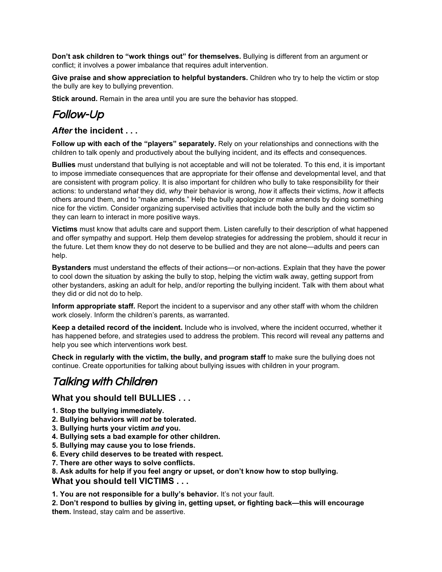**Don't ask children to "work things out" for themselves.** Bullying is different from an argument or conflict; it involves a power imbalance that requires adult intervention.

**Give praise and show appreciation to helpful bystanders.**Children who try to help the victim or stop the bully are key to bullying prevention.

**Stick around.** Remain in the area until you are sure the behavior has stopped.

# Follow-Up

## *After***the incident . . .**

**Follow up with each of the "players" separately.** Rely on your relationships and connections with the children to talk openly and productively about the bullying incident, and its effects and consequences.

**Bullies**must understand that bullying is not acceptable and will not be tolerated. To this end, it is important to impose immediate consequences that are appropriate for their offense and developmental level, and that are consistent with program policy. It is also important for children who bully to take responsibility for their actions: to understand *what* they did, *why* their behavior is wrong, *how* it affects their victims, *how* it affects others around them, and to "make amends." Help the bully apologize or make amends by doing something nice for the victim. Consider organizing supervised activities that include both the bully and the victim so they can learn to interact in more positive ways.

**Victims**must know that adults care and support them. Listen carefully to their description of what happened and offer sympathy and support. Help them develop strategies for addressing the problem, should it recur in the future. Let them know they do not deserve to be bullied and they are not alone—adults and peers can help.

**Bystanders** must understand the effects of their actions—or non-actions. Explain that they have the power to cool down the situation by asking the bully to stop, helping the victim walk away, getting support from other bystanders, asking an adult for help, and/or reporting the bullying incident. Talk with them about what they did or did not do to help.

**Inform appropriate staff.**Report the incident to a supervisor and any other staff with whom the children work closely. Inform the children's parents, as warranted.

**Keep a detailed record of the incident.** Include who is involved, where the incident occurred, whether it has happened before, and strategies used to address the problem. This record will reveal any patterns and help you see which interventions work best.

**Check in regularly with the victim, the bully, and program staff** to make sure the bullying does not continue. Create opportunities for talking about bullying issues with children in your program.

# Talking with Children

## **What you should tell BULLIES . . .**

- **1. Stop the bullying immediately.**
- **2. Bullying behaviors will** *not***be tolerated.**
- **3. Bullying hurts your victim** *and***you.**
- **4. Bullying sets a bad example for other children.**
- **5. Bullying may cause you to lose friends.**
- **6. Every child deserves to be treated with respect.**
- **7. There are other ways to solve conflicts.**

**8. Ask adults for help if you feel angry or upset, or don't know how to stop bullying.**

**What you should tell VICTIMS . . .**

**1. You are not responsible for a bully's behavior.** It's not your fault.

**2. Don't respond to bullies by giving in, getting upset, or fighting back—this will encourage them.**Instead, stay calm and be assertive.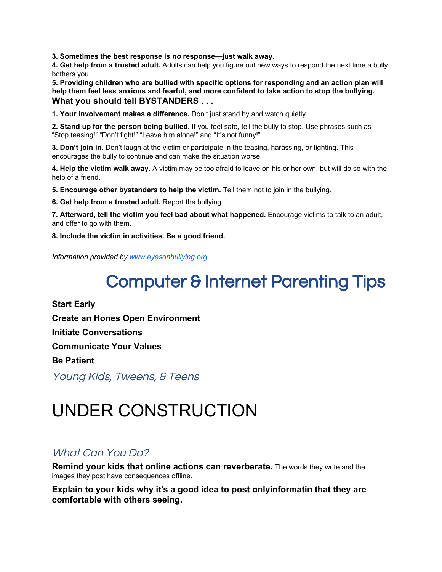**3. Sometimes the best response is** *no***response—just walk away.**

**4. Get help from a trusted adult.** Adults can help you figure out new ways to respond the next time a bully bothers you.

**5. Providing children who are bullied with specific options for responding and an action plan will help them feel less anxious and fearful, and more confident to take action to stop the bullying. What you should tell BYSTANDERS . . .**

**1. Your involvement makes a difference.** Don't just stand by and watch quietly.

**2. Stand up for the person being bullied.**If you feel safe, tell the bully to stop. Use phrases such as "Stop teasing!" "Don't fight!" "Leave him alone!" and "It's not funny!"

**3. Don'tjoin in.** Don't laugh at the victim or participate in the teasing, harassing, or fighting. This encourages the bully to continue and can make the situation worse.

**4. Help the victim walk away.** A victim may be too afraid to leave on his or her own, but will do so with the help of a friend.

**5. Encourageother bystanders to help the victim.** Tell them not to join in the bullying.

**6. Get help from a trusted adult.** Report the bullying.

**7. Afterward,tell the victim you feel bad about what happened.** Encourage victims to talk to an adult, and offer to go with them.

**8. Include the victim in activities. Be a good friend.**

*Information provided by [www.eyesonbullying.org](http://www.eyesonbullying.org/)*

# Computer & Internet Parenting Tips

**Start Early Create an Hones Open Environment Initiate Conversations Communicate Your Values Be Patient**

Young Kids, Tweens, & Teens

# UNDER CONSTRUCTION

## What Can You Do?

**Remind your kids that online actions can reverberate.**The words they write and the images they post have consequences offline.

**Explain to your kids why it's a good idea to post onlyinformatin that they are comfortable with others seeing.**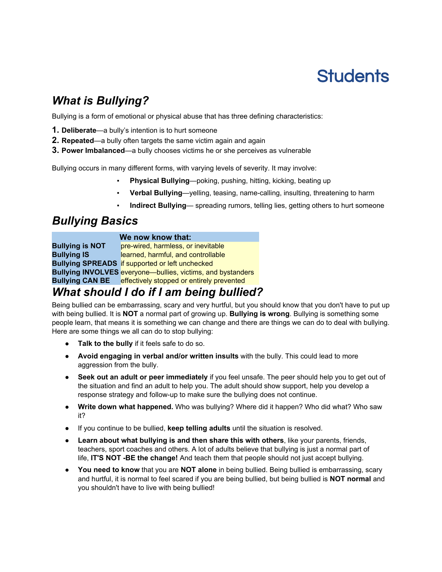# **Students**

# *What is Bullying?*

Bullying is a form of emotional or physical abuse that has three defining characteristics:

- **1. Deliberate**—a bully's intention is to hurt someone
- **2. Repeated**—a bully often targets the same victim again and again
- **3. Power Imbalanced**—a bully chooses victims he or she perceives as vulnerable

Bullying occurs in many different forms, with varying levels of severity. It may involve:

- **Physical Bullying—poking, pushing, hitting, kicking, beating up**
- Verbal Bullying-yelling, teasing, name-calling, insulting, threatening to harm
- Indirect Bullying- spreading rumors, telling lies, getting others to hurt someone

# *Bullying Basics*

### **We now know that:**

**Bullying is NOT** pre-wired, harmless, or inevitable **Bullying IS** learned, harmful, and controllable **Bullying SPREADS** if supported or left unchecked **Bullying INVOLVES** everyone—bullies, victims, and bystanders **Bullying CAN BE** effectively stopped or entirely prevented

# *What should I do if I am being bullied?*

Being bullied can be embarrassing, scary and very hurtful, but you should know that you don't have to put up with being bullied. It is **NOT**a normal part of growing up. **Bullying is wrong**. Bullying is something some people learn, that means it is something we can change and there are things we can do to deal with bullying. Here are some things we all can do to stop bullying:

- **Talk to the bully**if it feels safe to do so.
- **Avoid engaging in verbal and/or written insults**with the bully. This could lead to more aggression from the bully.
- **Seek out an adult or peer immediately**if you feel unsafe. The peer should help you to get out of the situation and find an adult to help you. The adult should show support, help you develop a response strategy and follow-up to make sure the bullying does not continue.
- **Write down what happened.**Who was bullying? Where did it happen? Who did what? Who saw it?
- If you continue to be bullied, **keep telling adults**until the situation is resolved.
- **Learnabout what bullying is and then share this with others**,like your parents, friends, teachers, sport coaches and others. A lot of adults believe that bullying is just a normal part of life, **IT'S NOT BE the change!**And teach them that people should not just accept bullying.
- **You need to know**that you are **NOT alone** in being bullied. Being bullied is embarrassing, scary and hurtful, it is normal to feel scared if you are being bullied, but being bullied is **NOT normal**and you shouldn't have to live with being bullied!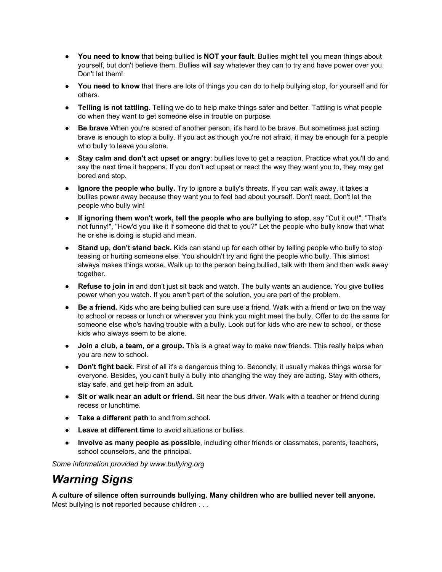- **You need to know**that being bullied is **NOT your fault**. Bullies might tell you mean things about yourself, but don't believe them. Bullies will say whatever they can to try and have power over you. Don't let them!
- **You need to know**that there are lots of things you can do to help bullying stop, for yourself and for others.
- **Telling is not tattling**. Telling we do to help make things safer and better. Tattling is what people do when they want to get someone else in trouble on purpose.
- **Be brave**When you're scared of another person, it's hard to be brave. But sometimes just acting brave is enough to stop a bully. If you act as though you're not afraid, it may be enough for a people who bully to leave you alone.
- **Stay calm and don't act upset or angry**: bullies love to get a reaction. Practice what you'll do and say the next time it happens. If you don't act upset or react the way they want you to, they may get bored and stop.
- **Ignore the people who bully.**Try to ignore a bully's threats. If you can walk away, it takes a bullies power away because they want you to feel bad about yourself. Don't react. Don't let the people who bully win!
- **If ignoring them won't work, tell the people who are bullying to stop**,say "Cut it out!", "That's not funny!", "How'd you like it if someone did that to you?" Let the people who bully know that what he or she is doing is stupid and mean.
- **Stand up, don't stand back.** Kids can stand up for each other by telling people who bully to stop teasing or hurting someone else. You shouldn't try and fight the people who bully. This almost always makes things worse. Walk up to the person being bullied, talk with them and then walk away together.
- **Refuse to join in**and don't just sit back and watch. The bully wants an audience. You give bullies power when you watch. If you aren't part of the solution, you are part of the problem.
- **Be a friend.** Kids who are being bullied can sure use a friend. Walk with a friend or two on the way to school or recess or lunch or wherever you think you might meet the bully. Offer to do the same for someone else who's having trouble with a bully. Look out for kids who are new to school, or those kids who always seem to be alone.
- **Join a club, a team, or a group.** This is a great way to make new friends. This really helps when you are new to school.
- **Don't fight back.** First of all it's a dangerous thing to. Secondly, it usually makes things worse for everyone. Besides, you can't bully a bully into changing the way they are acting. Stay with others, stay safe, and get help from an adult.
- **Sit or walk near an adult or friend.** Sit near the bus driver. Walk with a teacher or friend during recess or lunchtime.
- **Take a different path** to and from school**.**
- **Leave at different time**to avoid situations or bullies.
- **Involve as many people as possible**, including other friends or classmates, parents, teachers, school counselors, and the principal.

*Some information provided by www.bullying.org*

# *Warning Signs*

**A culture of silence often surrounds bullying. Many children who are bullied never tell anyone.** Most bullying is **not**reported because children . . .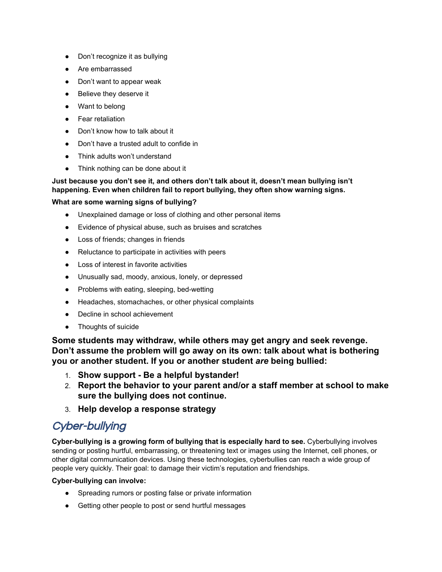- Don't recognize it as bullying
- Are embarrassed
- Don't want to appear weak
- Believe they deserve it
- Want to belong
- Fear retaliation
- Don't know how to talk about it
- Don't have a trusted adult to confide in
- Think adults won't understand
- Think nothing can be done about it

### **Just because you don't see it, and others don't talk about it, doesn't mean bullying isn't happening. Even when children fail to report bullying, they often show warning signs.**

### **What are some warning signs of bullying?**

- Unexplained damage or loss of clothing and other personal items
- Evidence of physical abuse, such as bruises and scratches
- Loss of friends; changes in friends
- Reluctance to participate in activities with peers
- Loss of interest in favorite activities
- Unusually sad, moody, anxious, lonely, or depressed
- Problems with eating, sleeping, bed-wetting
- Headaches, stomachaches, or other physical complaints
- Decline in school achievement
- Thoughts of suicide

**Some students may withdraw, while others may get angry and seek revenge. Don't assume the problem will go away on its own: talk about what is bothering you or another student. If you or another student** *are* **being bullied:**

- 1. **Show support Be a helpful bystander!**
- 2. **Report the behavior to your parent and/or a staff member at school to make sure the bullying does not continue.**
- 3. **Help develop a response strategy**

# Cyber-bullying

**Cyber-bullying is a growing form of bullying that is especially hard to see. Cyberbullying involves** sending or posting hurtful, embarrassing, or threatening text or images using the Internet, cell phones, or other digital communication devices. Using these technologies, cyberbullies can reach a wide group of people very quickly. Their goal: to damage their victim's reputation and friendships.

### **Cyber-bullying can involve:**

- Spreading rumors or posting false or private information
- Getting other people to post or send hurtful messages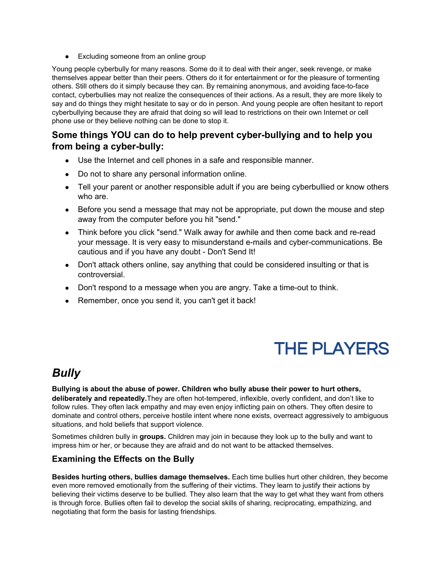• Excluding someone from an online group

Young people cyberbully for many reasons. Some do it to deal with their anger, seek revenge, or make themselves appear better than their peers. Others do it for entertainment or for the pleasure of tormenting others. Still others do it simply because they can. By remaining anonymous, and avoiding face-to-face contact, cyberbullies may not realize the consequences of their actions. As a result, they are more likely to say and do things they might hesitate to say or do in person. And young people are often hesitant to report cyberbullying because they are afraid that doing so will lead to restrictions on their own Internet or cell phone use or they believe nothing can be done to stop it.

## **Some** things YOU can do to help prevent cyber-bullying and to help you **from** being a cyber-bully:

- Use the Internet and cell phones in a safe and responsible manner.
- Do not to share any personal information online.
- Tell your parent or another responsible adult if you are being cyberbullied or know others who are.
- Before you send a message that may not be appropriate, put down the mouse and step away from the computer before you hit "send."
- Think before you click "send." Walk away for awhile and then come back and re-read your message. It is very easy to misunderstand e-mails and cyber-communications. Be cautious and if you have any doubt - Don't Send It!
- Don't attack others online, say anything that could be considered insulting or that is controversial.
- $\bullet$  Don't respond to a message when you are angry. Take a time-out to think.
- Remember, once you send it, you can't get it back!

# THE PLAYERS

# *Bully*

**Bullying is about the abuse of power. Children who bully abuse their power to hurt others, deliberately and repeatedly.**They are often hot-tempered, inflexible, overly confident, and don't like to follow rules. They often lack empathy and may even enjoy inflicting pain on others. They often desire to dominate and control others, perceive hostile intent where none exists, overreact aggressively to ambiguous situations, and hold beliefs that support violence.

Sometimes children bully in **groups.**Children may join in because they look up to the bully and want to impress him or her, or because they are afraid and do not want to be attacked themselves.

## **Examining the Effects on the Bully**

**Besides hurting others, bullies damage themselves.** Each time bullies hurt other children, they become even more removed emotionally from the suffering of their victims. They learn to justify their actions by believing their victims deserve to be bullied. They also learn that the way to get what they want from others is through force. Bullies often fail to develop the social skills of sharing, reciprocating, empathizing, and negotiating that form the basis for lasting friendships.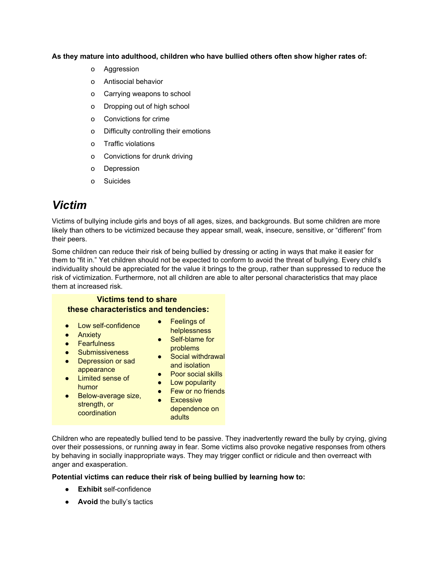### **As they mature into adulthood, children who have bullied others often show higher rates of:**

- o Aggression
- o Antisocial behavior
- o Carrying weapons to school
- o Dropping out of high school
- o Convictions for crime
- o Difficulty controlling their emotions
- o Traffic violations
- o Convictions for drunk driving
- o Depression
- o Suicides

# *Victim*

Victims of bullying include girls and boys of all ages, sizes, and backgrounds. But some children are more likely than others to be victimized because they appear small, weak, insecure, sensitive, or "different" from their peers.

Some children can reduce their risk of being bullied by dressing or acting in ways that make it easier for them to "fit in." Yet children should not be expected to conform to avoid the threat of bullying. Every child's individuality should be appreciated for the value it brings to the group, rather than suppressed to reduce the risk of victimization. Furthermore, not all children are able to alter personal characteristics that may place them at increased risk.

## **Victims tend to share these characteristics and tendencies:**

- Low self-confidence
- Anxiety
- Feelings of helplessness
- **•** Fearfulness
- Submissiveness
- Depression or sad appearance
- Limited sense of humor
- **•** Below-average size, strength, or coordination
- $\bullet$  Self-blame for
- problems ● Social withdrawal
- and isolation
- Poor social skills
- Low popularity
- Few or no friends
- Excessive dependence on adults

Children who are repeatedly bullied tend to be passive. They inadvertently reward the bully by crying, giving over their possessions, or running away in fear. Some victims also provoke negative responses from others by behaving in socially inappropriate ways. They may trigger conflict or ridicule and then overreact with anger and exasperation.

### **Potential victims can reduce their risk of being bullied by learning how to:**

- **• Exhibit** self-confidence
- **• Avoid** the bully's tactics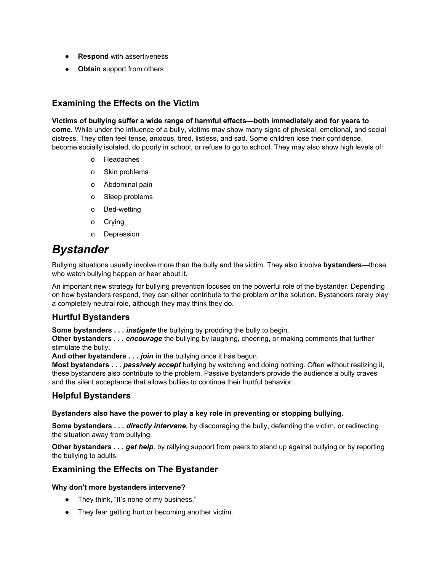- **Respond** with assertiveness
- **Obtain**support from others

## **Examining the Effects on the Victim**

### **Victims of bullying suffer a wide range of harmful effects—both immediately and for years to come.** While under the influence of a bully, victims may show many signs of physical, emotional, and social distress. They often feel tense, anxious, tired, listless, and sad. Some children lose their confidence, become socially isolated, do poorly in school, or refuse to go to school. They may also show high levels of:

- o Headaches
- o Skin problems
- o Abdominal pain
- o Sleep problems
- o Bed-wetting
- o Crying
- o Depression

## *Bystander*

Bullying situations usually involve more than the bully and the victim. They also involve **bystanders**—those who watch bullying happen or hear about it.

An important new strategy for bullying prevention focuses on the powerful role of the bystander. Depending on how bystanders respond, they can either contribute to the problem *or* the solution. Bystanders rarely play a completely neutral role, although they may think they do.

## **Hurtful Bystanders**

**Some bystanders . . .** *instigate* the bullying by prodding the bully to begin.

**Other bystanders . . .** *encourage*the bullying by laughing, cheering, or making comments that further stimulate the bully.

**And other bystanders . . .** *join***in**the bullying once it has begun.

**Most bystanders ...** *passively accept* bullying by watching and doing nothing. Often without realizing it, these bystanders also contribute to the problem. Passive bystanders provide the audience a bully craves and the silent acceptance that allows bullies to continue their hurtful behavior.

## **Helpful Bystanders**

### **Bystanders also have the power to play a key role in preventing or stopping bullying.**

**Some bystanders . . .** *directly intervene,* by discouraging the bully, defending the victim, or redirecting the situation away from bullying.

**Other bystanders . . .** *get help,* by rallying support from peers to stand up against bullying or by reporting the bullying to adults.

## **Examining the Effects on The Bystander**

### **Why don't more bystanders intervene?**

- They think, "It's none of my business."
- They fear getting hurt or becoming another victim.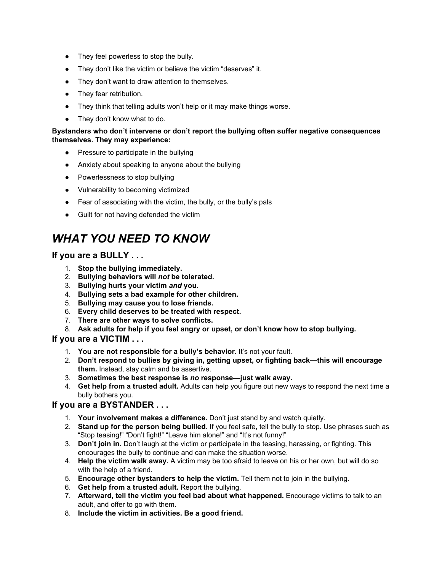- They feel powerless to stop the bully.
- They don't like the victim or believe the victim "deserves" it.
- They don't want to draw attention to themselves.
- They fear retribution.
- They think that telling adults won't help or it may make things worse.
- They don't know what to do.

### **Bystanders who don't intervene or don't report the bullying often suffer negative consequences themselves. They may experience:**

- Pressure to participate in the bullying
- Anxiety about speaking to anyone about the bullying
- Powerlessness to stop bullying
- Vulnerability to becoming victimized
- Fear of associating with the victim, the bully, or the bully's pals
- Guilt for not having defended the victim

# *WHAT YOU NEED TO KNOW*

## **If you are a BULLY . . .**

- 1. **Stop the bullying immediately.**
- 2. **Bullying behaviors will** *not***be tolerated.**
- 3. **Bullying hurts your victim** *and***you.**
- 4. **Bullying sets a bad example for other children.**
- 5. **Bullying may cause you to lose friends.**
- 6. **Every child deserves to be treated with respect.**
- 7. **There are other ways to solve conflicts.**
- 8. **Ask adults for help if you feel angry or upset, or don't know how to stop bullying.**

### **If you are a VICTIM . . .**

- 1. **You are not responsible for a bully's behavior.** It's not your fault.
- 2. **Don't respond to bullies by giving in, getting upset, or fighting back—this will encourage them.**Instead, stay calm and be assertive.
- 3. **Sometimes the best response is** *no***response—just walk away.**
- 4. **Get help from a trusted adult.** Adults can help you figure out new ways to respond the next time a bully bothers you.

### **If you are a BYSTANDER . . .**

- 1. **Your involvement makes a difference.** Don't just stand by and watch quietly.
- 2. **Stand up for the person being bullied.**If you feel safe, tell the bully to stop. Use phrases such as "Stop teasing!" "Don't fight!" "Leave him alone!" and "It's not funny!"
- 3. **Don'tjoin in.** Don't laugh at the victim or participate in the teasing, harassing, or fighting. This encourages the bully to continue and can make the situation worse.
- 4. **Help the victim walk away.** Avictim may be too afraid to leave on his or her own, but will do so with the help of a friend.
- 5. **Encourageother bystanders to help the victim.** Tell them not to join in the bullying.
- 6. **Get help from a trusted adult.** Report the bullying.
- 7. **Afterward,tell the victim you feel bad about what happened.** Encourage victims to talk to an adult, and offer to go with them.
- 8. **Include the victim in activities. Be a good friend.**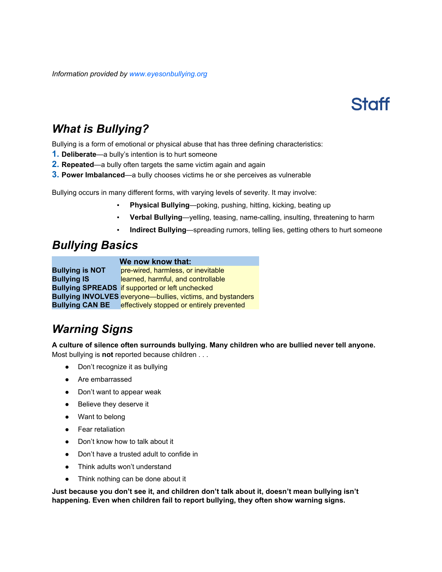*Information provided by [www.eyesonbullying.org](http://www.eyesonbullying.org/)*



# *What is Bullying?*

Bullying is a form of emotional or physical abuse that has three defining characteristics:

- **1. Deliberate**—a bully's intention is to hurt someone
- **2. Repeated**—a bully often targets the same victim again and again
- **3. Power Imbalanced**—a bully chooses victims he or she perceives as vulnerable

Bullying occurs in many different forms, with varying levels of severity. It may involve:

- **Physical Bullying**—poking, pushing, hitting, kicking, beating up
- **Verbal Bullying**—yelling, teasing, name-calling, insulting, threatening to harm
- Indirect Bullying—spreading rumors, telling lies, getting others to hurt someone

## *Bullying Basics*

### **We now know that:**

**Bullying is NOT** pre-wired, harmless, or inevitable **Bullying IS** learned, harmful, and controllable **Bullying SPREADS** if supported or left unchecked **Bullying INVOLVES** everyone—bullies, victims, and bystanders **Bullying CAN BE** effectively stopped or entirely prevented

# *Warning Signs*

**A culture of silence often surrounds bullying. Many children who are bullied never tell anyone.** Most bullying is **not** reported because children . . .

- Don't recognize it as bullying
- Are embarrassed
- Don't want to appear weak
- Believe they deserve it
- Want to belong
- Fear retaliation
- Don't know how to talk about it
- Don't have a trusted adult to confide in
- Think adults won't understand
- Think nothing can be done about it

**Just because you don't see it, and children don't talk about it, doesn't mean bullying isn't happening. Even when children fail to report bullying, they often show warning signs.**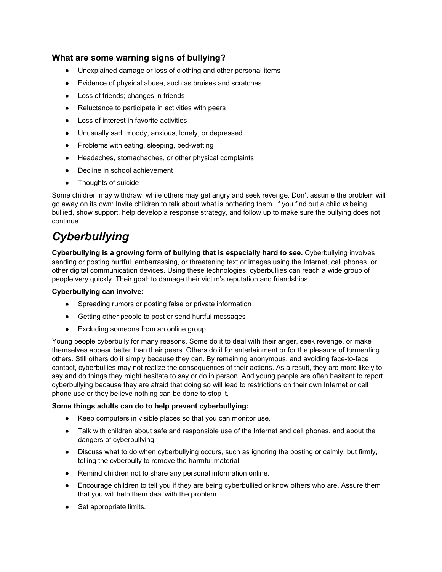## **What are some warning signs of bullying?**

- Unexplained damage or loss of clothing and other personal items
- Evidence of physical abuse, such as bruises and scratches
- Loss of friends; changes in friends
- Reluctance to participate in activities with peers
- Loss of interest in favorite activities
- Unusually sad, moody, anxious, lonely, or depressed
- Problems with eating, sleeping, bed-wetting
- Headaches, stomachaches, or other physical complaints
- Decline in school achievement
- **Thoughts of suicide**

Some children may withdraw, while others may get angry and seek revenge. Don't assume the problem will go away on its own: Invite children to talk about what is bothering them. If you find out a child *is* being bullied, show support, help develop a response strategy, and follow up to make sure the bullying does not continue.

# *Cyberbullying*

**Cyberbullying is a growing form of bullying that is especially hard to see.** Cyberbullying involves sending or posting hurtful, embarrassing, or threatening text or images using the Internet, cell phones, or other digital communication devices. Using these technologies, cyberbullies can reach a wide group of people very quickly. Their goal: to damage their victim's reputation and friendships.

### **Cyberbullying can involve:**

- Spreading rumors or posting false or private information
- Getting other people to post or send hurtful messages
- Excluding someone from an online group

Young people cyberbully for many reasons. Some do it to deal with their anger, seek revenge, or make themselves appear better than their peers. Others do it for entertainment or for the pleasure of tormenting others. Still others do it simply because they can. By remaining anonymous, and avoiding face-to-face contact, cyberbullies may not realize the consequences of their actions. As a result, they are more likely to say and do things they might hesitate to say or do in person. And young people are often hesitant to report cyberbullying because they are afraid that doing so will lead to restrictions on their own Internet or cell phone use or they believe nothing can be done to stop it.

### **Some things adults can do to help prevent cyberbullying:**

- Keep computers in visible places so that you can monitor use.
- Talk with children about safe and responsible use of the Internet and cell phones, and about the dangers of cyberbullying.
- Discuss what to do when cyberbullying occurs, such as ignoring the posting or calmly, but firmly, telling the cyberbully to remove the harmful material.
- Remind children not to share any personal information online.
- Encourage children to tell you if they are being cyberbullied or know others who are. Assure them that you will help them deal with the problem.
- Set appropriate limits.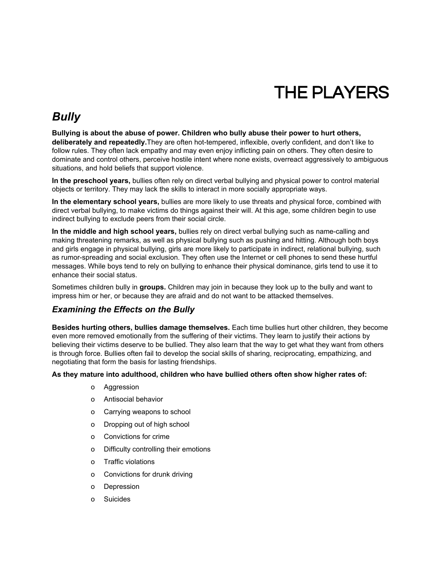# THE PLAYERS

# *Bully*

**Bullying is about the abuse of power. Children who bully abuse their power to hurt others, deliberately and repeatedly.**They are often hot-tempered, inflexible, overly confident, and don't like to follow rules. They often lack empathy and may even enjoy inflicting pain on others. They often desire to dominate and control others, perceive hostile intent where none exists, overreact aggressively to ambiguous situations, and hold beliefs that support violence.

**In the preschool years,**bullies often rely on direct verbal bullying and physical power to control material objects or territory. They may lack the skills to interact in more socially appropriate ways.

**In the elementary school years,**bullies are more likely to use threats and physical force, combined with direct verbal bullying, to make victims do things against their will. At this age, some children begin to use indirect bullying to exclude peers from their social circle.

**In the middle and high school years,** bullies rely on direct verbal bullying such as namecalling and making threatening remarks, as well as physical bullying such as pushing and hitting. Although both boys and girls engage in physical bullying, girls are more likely to participate in indirect, relational bullying, such as rumor-spreading and social exclusion. They often use the Internet or cell phones to send these hurtful messages. While boys tend to rely on bullying to enhance their physical dominance, girls tend to use it to enhance their social status.

Sometimes children bully in **groups.**Children may join in because they look up to the bully and want to impress him or her, or because they are afraid and do not want to be attacked themselves.

## *Examining the Effects on the Bully*

**Besides hurting others, bullies damage themselves.** Each time bullies hurt other children, they become even more removed emotionally from the suffering of their victims. They learn to justify their actions by believing their victims deserve to be bullied. They also learn that the way to get what they want from others is through force. Bullies often fail to develop the social skills of sharing, reciprocating, empathizing, and negotiating that form the basis for lasting friendships.

**As they mature into adulthood, children who have bullied others often show higher rates of:**

- o Aggression
- o Antisocial behavior
- o Carrying weapons to school
- o Dropping out of high school
- o Convictions for crime
- o Difficulty controlling their emotions
- o Traffic violations
- o Convictions for drunk driving
- o Depression
- o Suicides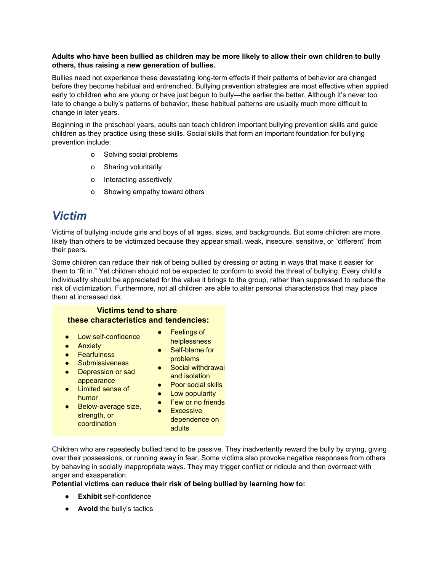### **Adults who have been bullied as children may be more likely to allow their own children to bully others, thus raising a new generation of bullies.**

Bullies need not experience these devastating long-term effects if their patterns of behavior are changed before they become habitual and entrenched. Bullying prevention strategies are most effective when applied early to children who are young or have just begun to bully—the earlier the better. Although it's never too late to change a bully's patterns of behavior, these habitual patterns are usually much more difficult to change in later years.

Beginning in the preschool years, adults can teach children important bullying prevention skills and guide children as they practice using these skills. Social skills that form an important foundation for bullying prevention include:

- o Solving social problems
- o Sharing voluntarily
- o Interacting assertively
- o Showing empathy toward others

# *Victim*

Victims of bullying include girls and boys of all ages, sizes, and backgrounds. But some children are more likely than others to be victimized because they appear small, weak, insecure, sensitive, or "different" from their peers.

Some children can reduce their risk of being bullied by dressing or acting in ways that make it easier for them to "fit in." Yet children should not be expected to conform to avoid the threat of bullying. Every child's individuality should be appreciated for the value it brings to the group, rather than suppressed to reduce the risk of victimization. Furthermore, not all children are able to alter personal characteristics that may place them at increased risk.

## **Victims tend to share these characteristics and tendencies:**

- Low self-confidence
- Anxiety
- Fearfulness
- Submissiveness
- Depression or sad appearance
- Limited sense of
- humor
- Self-blame for problems ● Social withdrawal
- and isolation
- Poor social skills

• Feelings of helplessness

- Low popularity
- Few or no friends
- Below-average size, strength, or coordination
- Excessive dependence on adults

Children who are repeatedly bullied tend to be passive. They inadvertently reward the bully by crying, giving over their possessions, or running away in fear. Some victims also provoke negative responses from others by behaving in socially inappropriate ways. They may trigger conflict or ridicule and then overreact with anger and exasperation.

### **Potential victims can reduce their risk of being bullied by learning how to:**

- **Exhibit** self-confidence
- **• Avoid** the bully's tactics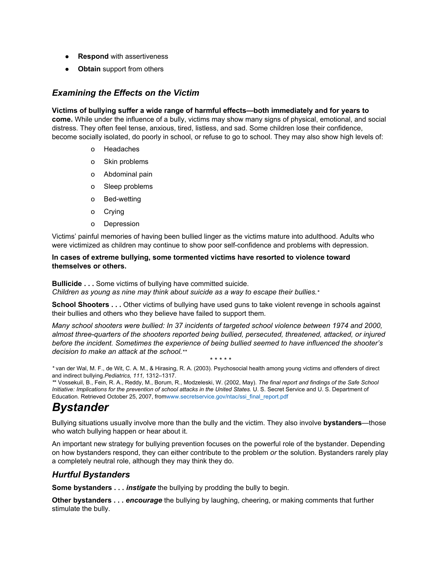- **Respond** with assertiveness
- **Obtain**support from others

## *Examining the Effects on the Victim*

### **Victims of bullying suffer a wide range of harmful effects—both immediately and for years to**

**come.** While under the influence of a bully, victims may show many signs of physical, emotional, and social distress. They often feel tense, anxious, tired, listless, and sad. Some children lose their confidence, become socially isolated, do poorly in school, or refuse to go to school. They may also show high levels of:

- o Headaches
- o Skin problems
- o Abdominal pain
- o Sleep problems
- o Bed-wetting
- o Crying
- o Depression

Victims' painful memories of having been bullied linger as the victims mature into adulthood. Adults who were victimized as children may continue to show poor self-confidence and problems with depression.

### **In cases of extreme bullying, some tormented victims have resorted to violence toward themselves or others.**

**Bullicide . . .** Some victims of bullying have committed suicide.

*Children as young as nine may think about suicide as a way to escape their bullies.\**

**School Shooters . . .** Other victims of bullying have used guns to take violent revenge in schools against their bullies and others who they believe have failed to support them.

*Many school shooters were bullied: In 37 incidents of targeted school violence between 1974 and 2000, almost threequarters of the shooters reported being bullied, persecuted, threatened, attacked, or injured before the incident. Sometimes the experience of being bullied seemed to have influenced the shooter's decision to make an attack at the school.\*\**

\* \* \* \* \* *\** van der Wal, M. F., de Wit, C. A. M., & Hirasing, R. A. (2003). Psychosocial health among young victims and offenders of direct and indirect bullying.*Pediatrics, 111,* 1312–1317.

*\**\* Vossekuil, B., Fein, R. A., Reddy, M., Borum, R., Modzeleski, W. (2002, May). *The final report and findings of the Safe School Initiative: Implications for the prevention of school attacks in the United States.* U. S. Secret [Se](http://www.secretservice.gov/ntac/ssi_final_report.pdf)rvice and U. S. Department of Education. Retrieved October 25, 2007, fro[mwww.secretservice.gov/ntac/ssi\\_final\\_report.pdf](http://www.secretservice.gov/ntac/ssi_final_report.pdf)

# *Bystander*

Bullying situations usually involve more than the bully and the victim. They also involve **bystanders**—those who watch bullying happen or hear about it.

An important new strategy for bullying prevention focuses on the powerful role of the bystander. Depending on how bystanders respond, they can either contribute to the problem *or* the solution. Bystanders rarely play a completely neutral role, although they may think they do.

## *Hurtful Bystanders*

**Some bystanders . . .** *instigate* the bullying by prodding the bully to begin.

**Other bystanders . . .** *encourage*the bullying by laughing, cheering, or making comments that further stimulate the bully.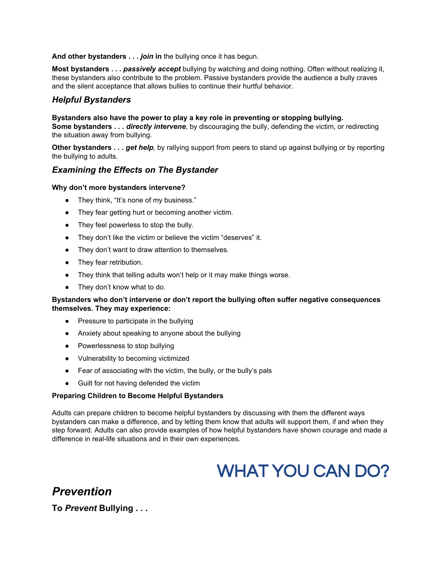**And other bystanders . . .** *join***in**the bullying once it has begun.

**Most bystanders ...** *passively accept* bullying by watching and doing nothing. Often without realizing it, these bystanders also contribute to the problem. Passive bystanders provide the audience a bully craves and the silent acceptance that allows bullies to continue their hurtful behavior.

### *Helpful Bystanders*

**Bystanders also have the power to play a key role in preventing or stopping bullying. Some bystanders . . .** *directly intervene,* by discouraging the bully, defending the victim, or redirecting the situation away from bullying.

**Other bystanders . . .** *get help,* by rallying support from peers to stand up against bullying or by reporting the bullying to adults.

## *Examining the Effects on The Bystander*

### **Why don't more bystanders intervene?**

- They think, "It's none of my business."
- They fear getting hurt or becoming another victim.
- They feel powerless to stop the bully.
- They don't like the victim or believe the victim "deserves" it.
- They don't want to draw attention to themselves.
- They fear retribution.
- They think that telling adults won't help or it may make things worse.
- They don't know what to do.

### **Bystanders who don't intervene or don't report the bullying often suffer negative consequences themselves. They may experience:**

- Pressure to participate in the bullying
- Anxiety about speaking to anyone about the bullying
- Powerlessness to stop bullying
- Vulnerability to becoming victimized
- Fear of associating with the victim, the bully, or the bully's pals
- Guilt for not having defended the victim

### **Preparing Children to Become Helpful Bystanders**

Adults can prepare children to become helpful bystanders by discussing with them the different ways bystanders can make a difference, and by letting them know that adults will support them, if and when they step forward. Adults can also provide examples of how helpful bystanders have shown courage and made a difference in real-life situations and in their own experiences.

# WHAT YOU CAN DO?

*Prevention* **To** *Prevent***Bullying . . .**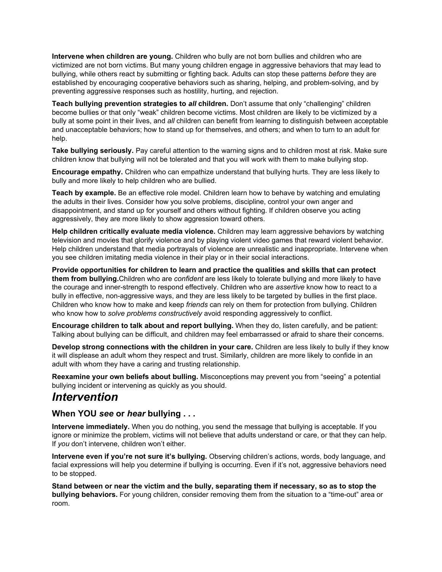**Intervene when children are young.** Children who bully are not born bullies and children who are victimized are not born victims. But many young children engage in aggressive behaviors that may lead to bullying, while others react by submitting or fighting back. Adults can stop these patterns *before* they are established by encouraging cooperative behaviors such as sharing, helping, and problem-solving, and by preventing aggressive responses such as hostility, hurting, and rejection.

**Teach bullying prevention strategies to** *all***children.** Don't assume that only "challenging" children become bullies or that only "weak" children become victims. Most children are likely to be victimized by a bully at some point in their lives, and *all* children can benefit from learning to distinguish between acceptable and unacceptable behaviors; how to stand up for themselves, and others; and when to turn to an adult for help.

**Take bullying seriously.** Pay careful attention to the warning signs and to children most at risk. Make sure children know that bullying will not be tolerated and that you will work with them to make bullying stop.

**Encourage empathy.** Children who can empathize understand that bullying hurts. They are less likely to bully and more likely to help children who are bullied.

**Teach by example.**Be an effective role model. Children learn how to behave by watching and emulating the adults in their lives. Consider how you solve problems, discipline, control your own anger and disappointment, and stand up for yourself and others without fighting. If children observe you acting aggressively, they are more likely to show aggression toward others.

**Help children critically evaluate media violence.** Children may learn aggressive behaviors by watching television and movies that glorify violence and by playing violent video games that reward violent behavior. Help children understand that media portrayals of violence are unrealistic and inappropriate. Intervene when you see children imitating media violence in their play or in their social interactions.

**Provide opportunities for children to learn and practice the qualities and skills that can protect them from bullying.**Children who are *confident* are less likely to tolerate bullying and more likely to have the courage and innerstrength to respond effectively. Children who are *assertive* know how to react to a bully in effective, non-aggressive ways, and they are less likely to be targeted by bullies in the first place. Children who know how to make and keep *friends* can rely on them for protection from bullying. Children who know how to *solve problems constructively* avoid responding aggressively to conflict.

**Encourage children to talk about and report bullying.**When they do, listen carefully, and be patient: Talking about bullying can be difficult, and children may feel embarrassed or afraid to share their concerns.

**Develop strong connections with the children in your care.** Children are less likely to bully if they know it will displease an adult whom they respect and trust. Similarly, children are more likely to confide in an adult with whom they have a caring and trusting relationship.

**Reexamine your own beliefs about bulling.** Misconceptions may prevent you from "seeing" a potential bullying incident or intervening as quickly as you should.

# *Intervention*

## **When YOU** *see***or** *hear***bullying . . .**

**Intervene immediately.** When you do nothing, you send the message that bullying is acceptable. If you ignore or minimize the problem, victims will not believe that adults understand or care, or that they can help. If *you* don't intervene, children won't either.

**Intervene even if you're not sure it's bullying.** Observing children's actions, words, body language, and facial expressions will help you determine if bullying is occurring. Even if it's not, aggressive behaviors need to be stopped.

**Stand between or near the victim and the bully, separating them if necessary, so as to stop the bullying behaviors.** For young children, consider removing them from the situation to a "time-out" area or room.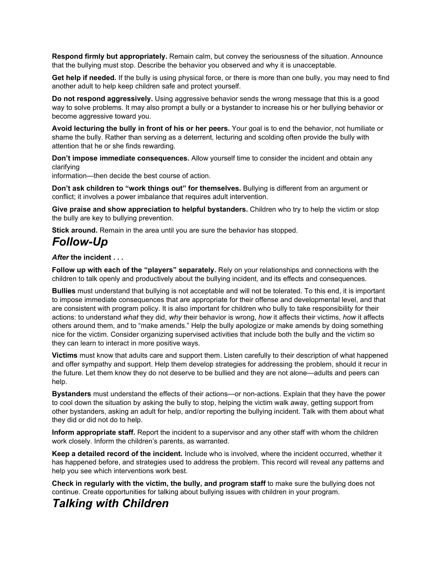**Respond firmly but appropriately.**Remain calm, but convey the seriousness of the situation. Announce that the bullying must stop. Describe the behavior you observed and why it is unacceptable.

**Get help if needed.** If the bully is using physical force, or there is more than one bully, you may need to find another adult to help keep children safe and protect yourself.

**Do not respond aggressively.** Using aggressive behavior sends the wrong message that this is a good way to solve problems. It may also prompt a bully or a bystander to increase his or her bullying behavior or become aggressive toward you.

**Avoid lecturing the bully in front of his or her peers.** Your goal is to end the behavior, not humiliate or shame the bully. Rather than serving as a deterrent, lecturing and scolding often provide the bully with attention that he or she finds rewarding.

**Don't impose immediate consequences.** Allow yourself time to consider the incident and obtain any clarifying

information—then decide the best course of action.

**Don't ask children to "work things out" for themselves.** Bullying is different from an argument or conflict; it involves a power imbalance that requires adult intervention.

**Give praise and show appreciation to helpful bystanders.**Children who try to help the victim or stop the bully are key to bullying prevention.

**Stick around.** Remain in the area until you are sure the behavior has stopped.

# **Follow-Up**

### *After***the incident . . .**

**Follow up with each of the "players" separately.** Rely on your relationships and connections with the children to talk openly and productively about the bullying incident, and its effects and consequences.

**Bullies**must understand that bullying is not acceptable and will not be tolerated. To this end, it is important to impose immediate consequences that are appropriate for their offense and developmental level, and that are consistent with program policy. It is also important for children who bully to take responsibility for their actions: to understand *what* they did, *why* their behavior is wrong, *how* it affects their victims, *how* it affects others around them, and to "make amends." Help the bully apologize or make amends by doing something nice for the victim. Consider organizing supervised activities that include both the bully and the victim so they can learn to interact in more positive ways.

**Victims**must know that adults care and support them. Listen carefully to their description of what happened and offer sympathy and support. Help them develop strategies for addressing the problem, should it recur in the future. Let them know they do not deserve to be bullied and they are not alone—adults and peers can help.

**Bystanders** must understand the effects of their actions—or non-actions. Explain that they have the power to cool down the situation by asking the bully to stop, helping the victim walk away, getting support from other bystanders, asking an adult for help, and/or reporting the bullying incident. Talk with them about what they did or did not do to help.

**Inform appropriate staff.**Report the incident to a supervisor and any other staff with whom the children work closely. Inform the children's parents, as warranted.

**Keep a detailed record of the incident.** Include who is involved, where the incident occurred, whether it has happened before, and strategies used to address the problem. This record will reveal any patterns and help you see which interventions work best.

**Check in regularly with the victim, the bully, and program staff** to make sure the bullying does not continue. Create opportunities for talking about bullying issues with children in your program.

## *Talking with Children*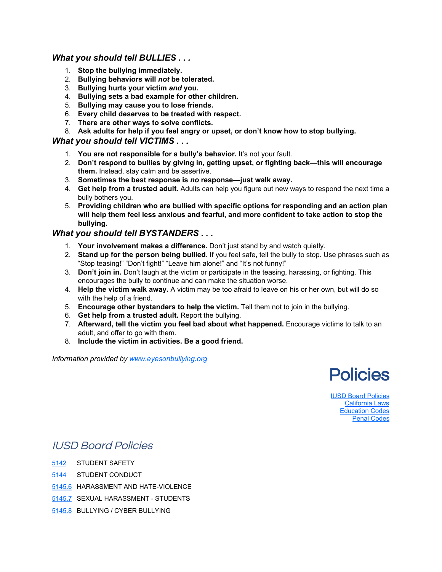## *What you should tell BULLIES . . .*

- 1. **Stop the bullying immediately.**
- 2. **Bullying behaviors will** *not***be tolerated.**
- 3. **Bullying hurts your victim** *and***you.**
- 4. **Bullying sets a bad example for other children.**
- 5. **Bullying may cause you to lose friends.**
- 6. **Every child deserves to be treated with respect.**
- 7. **There are other ways to solve conflicts.**
- 8. **Ask adults for help if you feel angry or upset, or don't know how to stop bullying.**

## *What you should tell VICTIMS . . .*

- 1. **You are not responsible for a bully's behavior.** It's not your fault.
- 2. **Don't respond to bullies by giving in, getting upset, or fighting back—this will encourage them.**Instead, stay calm and be assertive.
- 3. **Sometimes the best response is** *no***response—just walk away.**
- 4. **Get help from a trusted adult.** Adults can help you figure out new ways to respond the next time a bully bothers you.
- 5. **Providing children who are bullied with specific options for responding and an action plan will help them feel less anxious and fearful, and more confident to take action to stop the bullying.**

## *What you should tell BYSTANDERS . . .*

- 1. **Your involvement makes a difference.** Don't just stand by and watch quietly.
- 2. **Stand up for the person being bullied.**If you feel safe, tell the bully to stop. Use phrases such as "Stop teasing!" "Don't fight!" "Leave him alone!" and "It's not funny!"
- 3. **Don'tjoin in.** Don't laugh at the victim or participate in the teasing, harassing, or fighting. This encourages the bully to continue and can make the situation worse.
- 4. **Help the victim walk away.** Avictim may be too afraid to leave on his or her own, but will do so with the help of a friend.
- 5. **Encourageother bystanders to help the victim.** Tell them not to join in the bullying.
- 6. **Get help from a trusted adult.** Report the bullying.
- 7. **Afterward,tell the victim you feel bad about what happened.** Encourage victims to talk to an adult, and offer to go with them.
- 8. **Include the victim in activities. Be a good friend.**

*Information provided by [www.eyesonbullying.org](http://www.eyesonbullying.org/)*



IUSD Board [Policies](http://iusd.org/student_services/bullying/policies.html#iusdboardpolicies) [California](http://iusd.org/student_services/bullying/policies.html#californialaws) Laws [Education](http://iusd.org/student_services/bullying/policies.html#educationcodes) Codes Penal [Codes](http://iusd.org/student_services/bullying/policies.html#penalcodes)

## IUSD Board Policies

- [5142](http://iusd.org/board_of_education/board_policy/policies/5142.htm) STUDENT SAFETY
- [5144](http://iusd.org/board_of_education/board_policy/policies/5144.htm) STUDENT CONDUCT
- [5145.6](http://iusd.org/board_of_education/board_policy/policies/5145_6.htm) HARASSMENT AND HATE-VIOLENCE
- [5145.7](http://iusd.org/board_of_education/board_policy/policies/5145_7.htm) SEXUAL HARASSMENT STUDENTS
- [5145.8](http://iusd.org/board_of_education/board_policy/policies/5145_8.htm) BULLYING / CYBER BULLYING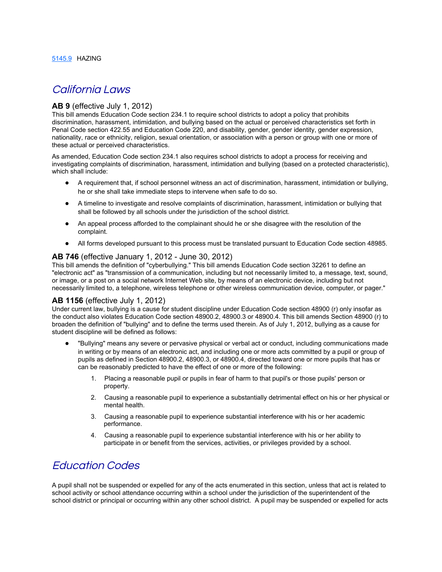## California Laws

### **AB 9** (effective July 1, 2012)

This bill amends Education Code section 234.1 to require school districts to adopt a policy that prohibits discrimination, harassment, intimidation, and bullying based on the actual or perceived characteristics set forth in Penal Code section 422.55 and Education Code 220, and disability, gender, gender identity, gender expression, nationality, race or ethnicity, religion, sexual orientation, or association with a person or group with one or more of these actual or perceived characteristics.

As amended, Education Code section 234.1 also requires school districts to adopt a process for receiving and investigating complaints of discrimination, harassment, intimidation and bullying (based on a protected characteristic), which shall include:

- A requirement that, if school personnel witness an act of discrimination, harassment, intimidation or bullying, he or she shall take immediate steps to intervene when safe to do so.
- A timeline to investigate and resolve complaints of discrimination, harassment, intimidation or bullying that shall be followed by all schools under the jurisdiction of the school district.
- An appeal process afforded to the complainant should he or she disagree with the resolution of the complaint.
- All forms developed pursuant to this process must be translated pursuant to Education Code section 48985.

### **AB 746** (effective January 1, 2012 June 30, 2012)

This bill amends the definition of "cyberbullying." This bill amends Education Code section 32261 to define an "electronic act" as "transmission of a communication, including but not necessarily limited to, a message, text, sound, or image, or a post on a social network Internet Web site, by means of an electronic device, including but not necessarily limited to, a telephone, wireless telephone or other wireless communication device, computer, or pager."

### **AB 1156** (effective July 1, 2012)

Under current law, bullying is a cause for student discipline under Education Code section 48900 (r) only insofar as the conduct also violates Education Code section 48900.2, 48900.3 or 48900.4. This bill amends Section 48900 (r) to broaden the definition of "bullying" and to define the terms used therein. As of July 1, 2012, bullying as a cause for student discipline will be defined as follows:

- "Bullying" means any severe or pervasive physical or verbal act or conduct, including communications made in writing or by means of an electronic act, and including one or more acts committed by a pupil or group of pupils as defined in Section 48900.2, 48900.3, or 48900.4, directed toward one or more pupils that has or can be reasonably predicted to have the effect of one or more of the following:
	- 1. Placing a reasonable pupil or pupils in fear of harm to that pupil's or those pupils' person or property.
	- 2. Causing a reasonable pupil to experience a substantially detrimental effect on his or her physical or mental health.
	- 3. Causing a reasonable pupil to experience substantial interference with his or her academic performance.
	- 4. Causing a reasonable pupil to experience substantial interference with his or her ability to participate in or benefit from the services, activities, or privileges provided by a school.

## Education Codes

A pupil shall not be suspended or expelled for any of the acts enumerated in this section, unless that act is related to school activity or school attendance occurring within a school under the jurisdiction of the superintendent of the school district or principal or occurring within any other school district. A pupil may be suspended or expelled for acts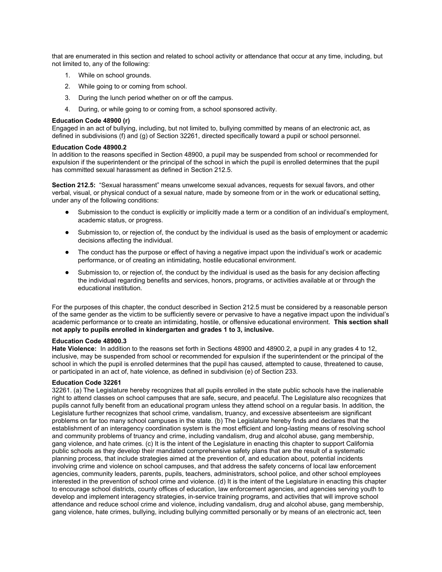that are enumerated in this section and related to school activity or attendance that occur at any time, including, but not limited to, any of the following:

- 1. While on school grounds.
- 2. While going to or coming from school.
- 3. During the lunch period whether on or off the campus.
- 4. During, or while going to or coming from, a school sponsored activity.

#### **Education Code48900 (r)**

Engaged in an act of bullying, including, but not limited to, bullying committed by means of an electronic act, as defined in subdivisions (f) and (g) of Section 32261, directed specifically toward a pupil or school personnel.

### **Education Code 48900.2**

In addition to the reasons specified in Section 48900, a pupil may be suspended from school or recommended for expulsion if the superintendent or the principal of the school in which the pupil is enrolled determines that the pupil has committed sexual harassment as defined in Section 212.5.

**Section 212.5:** "Sexual harassment" means unwelcome sexual advances, requests for sexual favors, and other verbal, visual, or physical conduct of a sexual nature, made by someone from or in the work or educational setting, under any of the following conditions:

- Submission to the conduct is explicitly or implicitly made a term or a condition of an individual's employment, academic status, or progress.
- Submission to, or rejection of, the conduct by the individual is used as the basis of employment or academic decisions affecting the individual.
- The conduct has the purpose or effect of having a negative impact upon the individual's work or academic performance, or of creating an intimidating, hostile educational environment.
- Submission to, or rejection of, the conduct by the individual is used as the basis for any decision affecting the individual regarding benefits and services, honors, programs, or activities available at or through the educational institution.

For the purposes of this chapter, the conduct described in Section 212.5 must be considered by a reasonable person of the same gender as the victim to be sufficiently severe or pervasive to have a negative impact upon the individual's academic performance or to create an intimidating, hostile, or offensive educational environment. **This section shall not apply to pupils enrolled in kindergarten and grades 1 to 3, inclusive.**

#### **Education Code 48900.3**

**Hate Violence:** In addition to the reasons set forth in Sections 48900 and 48900.2, a pupil in any grades 4 to 12, inclusive, may be suspended from school or recommended for expulsion if the superintendent or the principal of the school in which the pupil is enrolled determines that the pupil has caused, attempted to cause, threatened to cause, or participated in an act of, hate violence, as defined in subdivision (e) of Section 233.

#### **Education Code 32261**

32261. (a) The Legislature hereby recognizes that all pupils enrolled in the state public schools have the inalienable right to attend classes on school campuses that are safe, secure, and peaceful. The Legislature also recognizes that pupils cannot fully benefit from an educational program unless they attend school on a regular basis. In addition, the Legislature further recognizes that school crime, vandalism, truancy, and excessive absenteeism are significant problems on far too many school campuses in the state. (b) The Legislature hereby finds and declares that the establishment of an interagency coordination system is the most efficient and long-lasting means of resolving school and community problems of truancy and crime, including vandalism, drug and alcohol abuse, gang membership, gang violence, and hate crimes. (c) It is the intent of the Legislature in enacting this chapter to support California public schools as they develop their mandated comprehensive safety plans that are the result of a systematic planning process, that include strategies aimed at the prevention of, and education about, potential incidents involving crime and violence on school campuses, and that address the safety concerns of local law enforcement agencies, community leaders, parents, pupils, teachers, administrators, school police, and other school employees interested in the prevention of school crime and violence. (d) It is the intent of the Legislature in enacting this chapter to encourage school districts, county offices of education, law enforcement agencies, and agencies serving youth to develop and implement interagency strategies, in-service training programs, and activities that will improve school attendance and reduce school crime and violence, including vandalism, drug and alcohol abuse, gang membership, gang violence, hate crimes, bullying, including bullying committed personally or by means of an electronic act, teen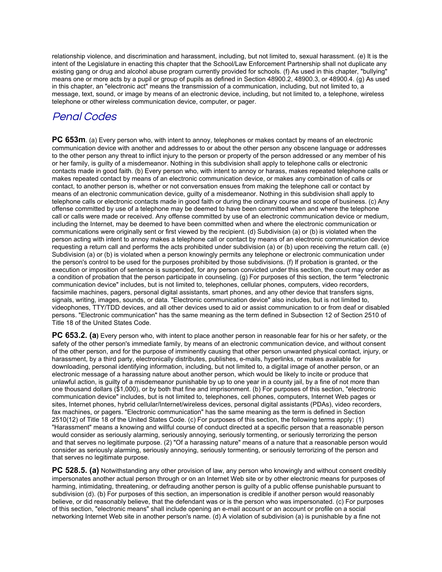relationship violence, and discrimination and harassment, including, but not limited to, sexual harassment. (e) It is the intent of the Legislature in enacting this chapter that the School/Law Enforcement Partnership shall not duplicate any existing gang or drug and alcohol abuse program currently provided for schools. (f) As used in this chapter, "bullying" means one or more acts by a pupil or group of pupils as defined in Section 48900.2, 48900.3, or 48900.4. (g) As used in this chapter, an "electronic act" means the transmission of a communication, including, but not limited to, a message, text, sound, or image by means of an electronic device, including, but not limited to, a telephone, wireless telephone or other wireless communication device, computer, or pager.

## Penal Codes

**PC 653m**. (a) Every person who, with intent to annoy, telephones or makes contact by means of an electronic communication device with another and addresses to or about the other person any obscene language or addresses to the other person any threat to inflict injury to the person or property of the person addressed or any member of his or her family, is guilty of a misdemeanor. Nothing in this subdivision shall apply to telephone calls or electronic contacts made in good faith. (b) Every person who, with intent to annoy or harass, makes repeated telephone calls or makes repeated contact by means of an electronic communication device, or makes any combination of calls or contact, to another person is, whether or not conversation ensues from making the telephone call or contact by means of an electronic communication device, guilty of a misdemeanor. Nothing in this subdivision shall apply to telephone calls or electronic contacts made in good faith or during the ordinary course and scope of business. (c) Any offense committed by use of a telephone may be deemed to have been committed when and where the telephone call or calls were made or received. Any offense committed by use of an electronic communication device or medium, including the Internet, may be deemed to have been committed when and where the electronic communication or communications were originally sent or first viewed by the recipient. (d) Subdivision (a) or (b) is violated when the person acting with intent to annoy makes a telephone call or contact by means of an electronic communication device requesting a return call and performs the acts prohibited under subdivision (a) or (b) upon receiving the return call. (e) Subdivision (a) or (b) is violated when a person knowingly permits any telephone or electronic communication under the person's control to be used for the purposes prohibited by those subdivisions. (f) If probation is granted, or the execution or imposition of sentence is suspended, for any person convicted under this section, the court may order as a condition of probation that the person participate in counseling. (g) For purposes of this section, the term "electronic communication device" includes, but is not limited to, telephones, cellular phones, computers, video recorders, facsimile machines, pagers, personal digital assistants, smart phones, and any other device that transfers signs, signals, writing, images, sounds, or data. "Electronic communication device" also includes, but is not limited to, videophones, TTY/TDD devices, and all other devices used to aid or assist communication to or from deaf or disabled persons. "Electronic communication" has the same meaning as the term defined in Subsection 12 of Section 2510 of Title 18 of the United States Code.

**PC 653.2. (a)**Every person who, with intent to place another person in reasonable fear for his or her safety, or the safety of the other person's immediate family, by means of an electronic communication device, and without consent of the other person, and for the purpose of imminently causing that other person unwanted physical contact, injury, or harassment, by a third party, electronically distributes, publishes, e-mails, hyperlinks, or makes available for downloading, personal identifying information, including, but not limited to, a digital image of another person, or an electronic message of a harassing nature about another person, which would be likely to incite or produce that unlawful action, is guilty of a misdemeanor punishable by up to one year in a county jail, by a fine of not more than one thousand dollars (\$1,000), or by both that fine and imprisonment. (b) For purposes of this section, "electronic communication device" includes, but is not limited to, telephones, cell phones, computers, Internet Web pages or sites, Internet phones, hybrid cellular/Internet/wireless devices, personal digital assistants (PDAs), video recorders, fax machines, or pagers. "Electronic communication" has the same meaning as the term is defined in Section 2510(12) of Title 18 of the United States Code. (c) For purposes of this section, the following terms apply: (1) "Harassment" means a knowing and willful course of conduct directed at a specific person that a reasonable person would consider as seriously alarming, seriously annoying, seriously tormenting, or seriously terrorizing the person and that serves no legitimate purpose. (2) "Of a harassing nature" means of a nature that a reasonable person would consider as seriously alarming, seriously annoying, seriously tormenting, or seriously terrorizing of the person and that serves no legitimate purpose.

**PC** 528.5. (a) Notwithstanding any other provision of law, any person who knowingly and without consent credibly impersonates another actual person through or on an Internet Web site or by other electronic means for purposes of harming, intimidating, threatening, or defrauding another person is guilty of a public offense punishable pursuant to subdivision (d). (b) For purposes of this section, an impersonation is credible if another person would reasonably believe, or did reasonably believe, that the defendant was or is the person who was impersonated. (c) For purposes of this section, "electronic means" shall include opening an email account or an account or profile on a social networking Internet Web site in another person's name. (d) A violation of subdivision (a) is punishable by a fine not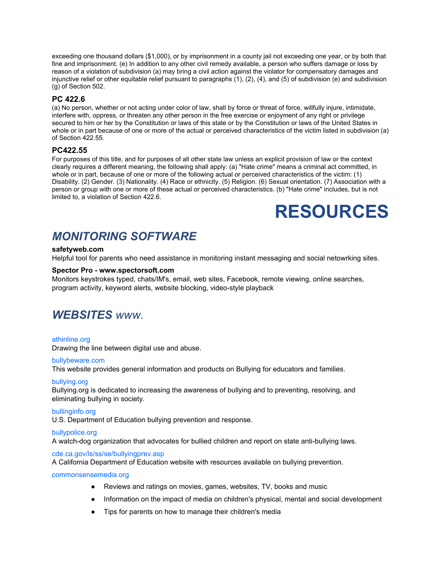exceeding one thousand dollars (\$1,000), or by imprisonment in a county jail not exceeding one year, or by both that fine and imprisonment. (e) In addition to any other civil remedy available, a person who suffers damage or loss by reason of a violation of subdivision (a) may bring a civil action against the violator for compensatory damages and injunctive relief or other equitable relief pursuant to paragraphs  $(1)$ ,  $(2)$ ,  $(4)$ , and  $(5)$  of subdivision  $(e)$  and subdivision (g) of Section 502.

### **PC 422.6**

(a) No person, whether or not acting under color of law, shall by force or threat of force, willfully injure, intimidate, interfere with, oppress, or threaten any other person in the free exercise or enjoyment of any right or privilege secured to him or her by the Constitution or laws of this state or by the Constitution or laws of the United States in whole or in part because of one or more of the actual or perceived characteristics of the victim listed in subdivision (a) of Section 422.55.

### **PC422.55**

For purposes of this title, and for purposes of all other state law unless an explicit provision of law or the context clearly requires a different meaning, the following shall apply: (a) "Hate crime" means a criminal act committed, in whole or in part, because of one or more of the following actual or perceived characteristics of the victim: (1) Disability. (2) Gender. (3) Nationality. (4) Race or ethnicity. (5) Religion. (6) Sexual orientation. (7) Association with a person or group with one or more of these actual or perceived characteristics. (b) "Hate crime" includes, but is not limited to, a violation of Section 422.6.

# **RESOURCES**

# *MONITORING SOFTWARE*

### **safetyweb.com**

Helpful tool for parents who need assistance in monitoring instant messaging and social netowrking sites.

### **Spector Pro www.spectorsoft.com**

Monitors keystrokes typed, chats/IM's, email, web sites, Facebook, remote viewing, online searches, program activity, keyword alerts, website blocking, video-style playback

## *WEBSITESwww.*

### [athinline.org](http://www.bullybeware.org/)

Drawing the line between digital use and abuse.

### [bullybeware.com](http://www.bullybeware.org/)

This website provides general information and products on Bullying for educators and families.

### [bullying.org](http://www.bullying.org/)

Bullying.org is dedicated to increasing the awareness of bullying and to preventing, resolving, and eliminating bullying in society.

### bullinginfo.org

U.S. Department of Education bullying prevention and response.

### [bullypolice.org](http://www.bullypolice.org/)

A watch-dog organization that advocates for bullied children and report on state anti-bullying laws.

### [cde.ca.gov/ls/ss/se/bullyingprev.asp](http://www.cde.ca.gov/ls/ss/se/bullyingprev.asp)

A California Department of Education website with resources available on bullying prevention.

### [commonsensemedia.org](http://www.commonsensemedia.org/)

- Reviews and ratings on movies, games, websites, TV, books and music
- Information on the impact of media on children's physical, mental and social development
- Tips for parents on how to manage their children's media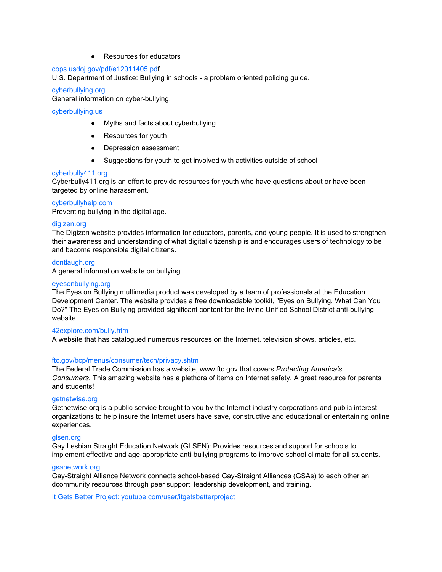● Resources for educators

### cops.usdoj.gov/pdf/e12011405.pdf

U.S. Department of Justice: Bullying in schools - a problem oriented policing guide.

### [cyberbullying.org](http://www.cyberbullying.org/)

General information on cyber-bullying.

### [cyberbullying.us](http://www.cyberbullying.us/)

- Myths and facts about cyberbullying
- Resources for youth
- Depression assessment
- Suggestions for youth to get involved with activities outside of school

### [cyberbully411.org](http://www.cyberbullying411.org/)

Cyberbully411.org is an effort to provide resources for youth who have questions about or have been targeted by online harassment.

### cyberbullyhelp.com

Preventing bullying in the digital age.

### [digizen.org](http://www.digizen.org/)

The Digizen website provides information for educators, parents, and young people. It is used to strengthen their awareness and understanding of what digital citizenship is and encourages users of technology to be and become responsible digital citizens.

### [dontlaugh.org](http://www.dontlaugh.org/)

A general information website on bullying.

### [eyesonbullying.org](http://www.eyesonbullying.org/)

The Eyes on Bullying multimedia product was developed by a team of professionals at the Education Development Center. The website provides a free downloadable toolkit, "Eyes on Bullying, What Can You Do?" The Eyes on Bullying provided significant content for the Irvine Unified School District anti-bullying website.

### [42explore.com/bully.htm](http://www.42explore2.com/bully.htm)

A website that has catalogued numerous resources on the Internet, television shows, articles, etc.

### [ftc.gov/bcp/menus/consumer/tech/privacy.shtm](http://www.pbis.org/)

The Federal Trade Commission has a website, www.ftc.gov that covers *Protecting America's Consumers.* This amazing website has a plethora of items on Internet safety. A great resource for parents and students!

### [getnetwise.org](http://www.getnetwise.org/)

Getnetwise.org is a public service brought to you by the Internet industry corporations and public interest organizations to help insure the Internet users have save, constructive and educational or entertaining online experiences.

### glsen.org

Gay Lesbian Straight Education Network (GLSEN): Provides resources and support for schools to implement effective and age-appropriate anti-bullying programs to improve school climate for all students.

### gsanetwork.org

Gay-Straight Alliance Network connects school-based Gay-Straight Alliances (GSAs) to each other an dcommunity resources through peer support, leadership development, and training.

It Gets Better Project: youtube.com/user/itgetsbetterproject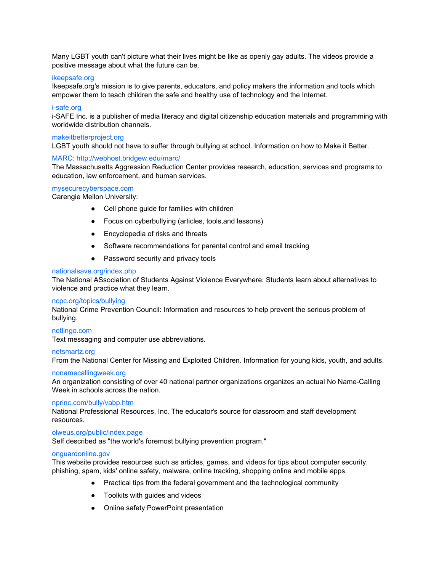Many LGBT youth can't picture what their lives might be like as openly gay adults. The videos provide a positive message about what the future can be.

### [ikeepsafe.org](http://www.ikeepsafe.org/)

Ikeepsafe.org's mission is to give parents, educators, and policy makers the information and tools which empower them to teach children the safe and healthy use of technology and the Internet.

### i-safe.org

i-SAFE Inc. is a publisher of media literacy and digital citizenship education materials and programming with worldwide distribution channels.

### makeitbetterproject.org

LGBT youth should not have to suffer through bullying at school. Information on how to Make it Better.

### MARC: http://webhost.bridgew.edu/marc/

The Massachusetts Aggression Reduction Center provides research, education, services and programs to education, law enforcement, and human services.

### [mysecurecyberspace.com](https://www.mysecurecyberspace.com/)

Carengie Mellon University:

- Cell phone guide for families with children
- Focus on cyberbullying (articles, tools,and lessons)
- Encyclopedia of risks and threats
- Software recommendations for parental control and email tracking
- Password security and privacy tools

### nationalsave.org/index.php

The National ASsociation of Students Against Violence Everywhere: Students learn about alternatives to violence and practice what they learn.

### ncpc.org/topics/bullying

National Crime Prevention Council: Information and resources to help prevent the serious problem of bullying.

### [netlingo.com](http://netlingo.com/)

Text messaging and computer use abbreviations.

### netsmartz.org

From the National Center for Missing and Exploited Children. Information for young kids, youth, and adults.

### [nonamecallingweek.org](http://www.nonamecallingweek.org/cgi-bin/iowa/home.html)

An organization consisting of over 40 national partner organizations organizes an actual No NameCalling Week in schools across the nation.

### [nprinc.com/bully/vabp.htm](http://www.nprinc.com/bully/vabp.htm)

National Professional Resources, Inc. The educator's source for classroom and staff development resources.

### olweus.org/public/index.page

Self described as "the world's foremost bullying prevention program."

### [onguardonline.gov](http://www.onguardonline.gov/)

This website provides resources such as articles, games, and videos for tips about computer security, phishing, spam, kids' online safety, malware, online tracking, shopping online and mobile apps.

- Practical tips from the federal government and the technological community
- Toolkits with guides and videos
- Online safety PowerPoint presentation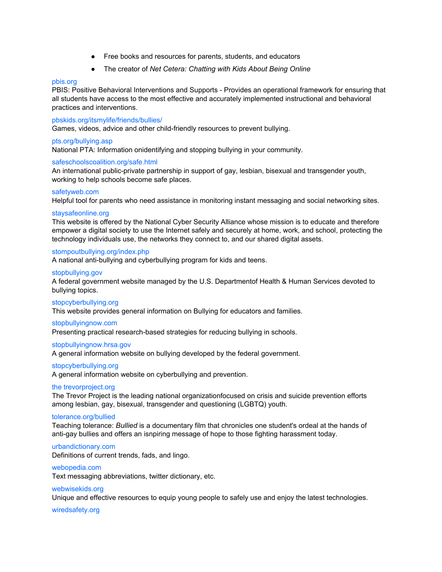- Free books and resources for parents, students, and educators
- The creator of *Net Cetera: Chatting with Kids About Being Online*

### [pbis.org](http://www.pbis.org/)

PBIS: Positive Behavioral Interventions and Supports Provides an operational framework for ensuring that all students have access to the most effective and accurately implemented instructional and behavioral practices and interventions.

### pbskids.org/itsmylife/friends/bullies/

Games, videos, advice and other child-friendly resources to prevent bullying.

### pts.org/bullying.asp

National PTA: Information onidentifying and stopping bullying in your community.

### safeschoolscoalition.org/safe.html

An international public-private partnership in support of gay, lesbian, bisexual and transgender youth, working to help schools become safe places.

### safetyweb.com

Helpful tool for parents who need assistance in monitoring instant messaging and social networking sites.

#### [staysafeonline.org](http://www.staysafeonline.org/)

This website is offered by the National Cyber Security Alliance whose mission is to educate and therefore empower a digital society to use the Internet safely and securely at home, work, and school, protecting the technology individuals use, the networks they connect to, and our shared digital assets.

### stompoutbullying.org/index.php

A national anti-bullying and cyberbullying program for kids and teens.

### [stopbullying.gov](http://www.stopcyberbullying.org/)

A federal government website managed by the U.S. Departmentof Health & Human Services devoted to bullying topics.

#### [stopcyberbullying.org](http://www.stopcyberbullying.org/)

This website provides general information on Bullying for educators and families.

#### [stopbullyingnow.com](http://www.stopbullyingnow.com/index.htm)

Presenting practical research-based strategies for reducing bullying in schools.

### [stopbullyingnow.hrsa.gov](http://www.stopbullying.gov/)

A general information website on bullying developed by the federal government.

### [stopcyberbullying.org](http://www.stopcyberbullying.org/index2.html)

A general information website on cyberbullying and prevention.

### the trevorproject.org

The Trevor Project is the leading national organizationfocused on crisis and suicide prevention efforts among lesbian, gay, bisexual, transgender and questioning (LGBTQ) youth.

### tolerance.org/bullied

Teaching tolerance: *Bullied* is a documentary film that chronicles one student's ordeal at the hands of anti-gay bullies and offers an isnpiring message of hope to those fighting harassment today.

#### urbandictionary.com

Definitions of current trends, fads, and lingo.

#### [webopedia.com](http://www.webopedia.com/)

Text messaging abbreviations, twitter dictionary, etc.

### webwisekids.org

Unique and effective resources to equip young people to safely use and enjoy the latest technologies.

#### wiredsafety.org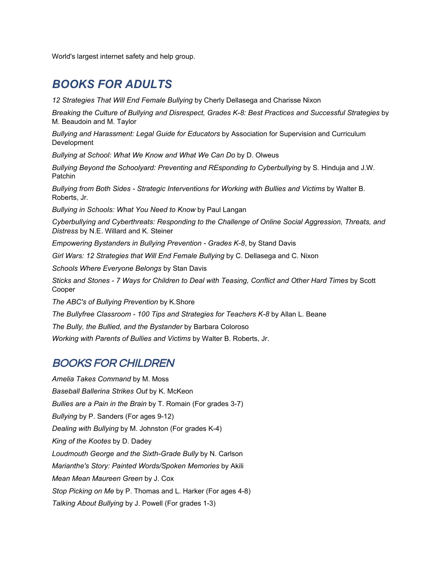World's largest internet safety and help group.

# *BOOKS FOR ADULTS*

*12 Strategies That Will End Female Bullying* by Cherly Dellasega and Charisse Nixon

*Breaking the Culture of Bullying and Disrespect, Grades K8: Best Practices and Successful Strategies* by M. Beaudoin and M. Taylor

*Bullying and Harassment: Legal Guide for Educators* by Association for Supervision and Curriculum Development

*Bullying at School: What We Know and What We Can Do* by D. Olweus

*Bullying Beyond the Schoolyard: Preventing and REsponding to Cyberbullying* by S. Hinduja and J.W. Patchin

*Bullying from Both Sides Strategic Interventions for Working with Bullies and Victims* by Walter B. Roberts, Jr.

*Bullying in Schools: What You Need to Know* by Paul Langan

*Cyberbullying and Cyberthreats: Responding to the Challenge of Online Social Aggression, Threats, and Distress* by N.E. Willard and K. Steiner

*Empowering Bystanders in Bullying Prevention - Grades K-8, by Stand Davis* 

*Girl Wars: 12 Strategies that Will End Female Bullying* by C. Dellasega and C. Nixon

*Schools Where Everyone Belongs* by Stan Davis

*Sticks and Stones 7 Ways for Children to Deal with Teasing, Conflict and Other Hard Times* by Scott Cooper

*The ABC's of Bullying Prevention* by K.Shore

*The Bullyfree Classroom 100 Tips and Strategies for Teachers K8* by Allan L. Beane

*The Bully, the Bullied, and the Bystander* by Barbara Coloroso

*Working with Parents of Bullies and Victims* by Walter B. Roberts, Jr.

## BOOKS FOR CHILDREN

*Amelia Takes Command* by M. Moss *Baseball Ballerina Strikes Out* by K. McKeon *Bullies are a Pain in the Brain* by T. Romain (For grades 3-7) *Bullying* by P. Sanders (For ages 9-12) *Dealing with Bullying* by M. Johnston (For grades K-4) *King of the Kootes* by D. Dadey Loudmouth *George* and the Sixth-Grade *Bully* by N. Carlson *Marianthe's Story: Painted Words/Spoken Memories* by Akili *Mean Mean Maureen Green* by J. Cox *Stop Picking on Me by P. Thomas and L. Harker (For ages 4-8) Talking About Bullying* by J. Powell (For grades 1-3)